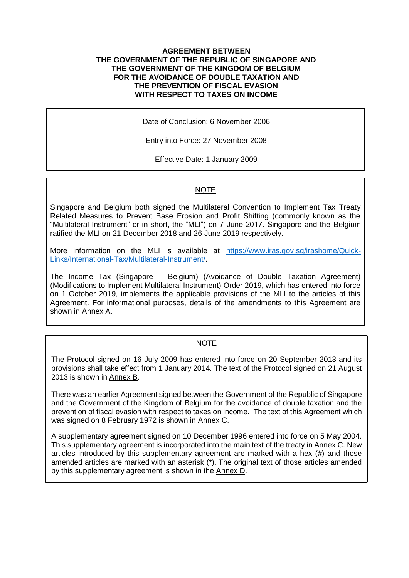#### **AGREEMENT BETWEEN THE GOVERNMENT OF THE REPUBLIC OF SINGAPORE AND THE GOVERNMENT OF THE KINGDOM OF BELGIUM FOR THE AVOIDANCE OF DOUBLE TAXATION AND THE PREVENTION OF FISCAL EVASION WITH RESPECT TO TAXES ON INCOME**

Date of Conclusion: 6 November 2006

Entry into Force: 27 November 2008

Effective Date: 1 January 2009

## NOTE

Singapore and Belgium both signed the Multilateral Convention to Implement Tax Treaty Related Measures to Prevent Base Erosion and Profit Shifting (commonly known as the "Multilateral Instrument" or in short, the "MLI") on 7 June 2017. Singapore and the Belgium ratified the MLI on 21 December 2018 and 26 June 2019 respectively.

More information on the MLI is available at [https://www.iras.gov.sg/irashome/Quick-](https://www.iras.gov.sg/irashome/Quick-Links/International-Tax/Multilateral-Instrument/)[Links/International-Tax/Multilateral-Instrument/.](https://www.iras.gov.sg/irashome/Quick-Links/International-Tax/Multilateral-Instrument/)

The Income Tax (Singapore – Belgium) (Avoidance of Double Taxation Agreement) (Modifications to Implement Multilateral Instrument) Order 2019, which has entered into force on 1 October 2019, implements the applicable provisions of the MLI to the articles of this Agreement. For informational purposes, details of the amendments to this Agreement are shown in Annex A.

## NOTE

The Protocol signed on 16 July 2009 has entered into force on 20 September 2013 and its provisions shall take effect from 1 January 2014. The text of the Protocol signed on 21 August 2013 is shown in Annex B.

There was an earlier Agreement signed between the Government of the Republic of Singapore and the Government of the Kingdom of Belgium for the avoidance of double taxation and the prevention of fiscal evasion with respect to taxes on income. The text of this Agreement which was signed on 8 February 1972 is shown in Annex C.

A supplementary agreement signed on 10 December 1996 entered into force on 5 May 2004. This supplementary agreement is incorporated into the main text of the treaty in Annex C. New articles introduced by this supplementary agreement are marked with a hex (#) and those amended articles are marked with an asterisk (\*). The original text of those articles amended by this supplementary agreement is shown in the Annex D.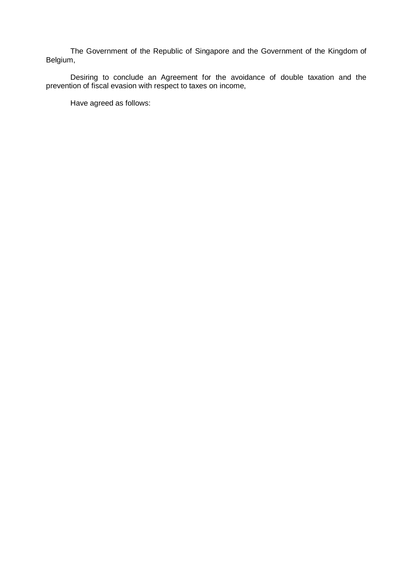The Government of the Republic of Singapore and the Government of the Kingdom of Belgium,

Desiring to conclude an Agreement for the avoidance of double taxation and the prevention of fiscal evasion with respect to taxes on income,

Have agreed as follows: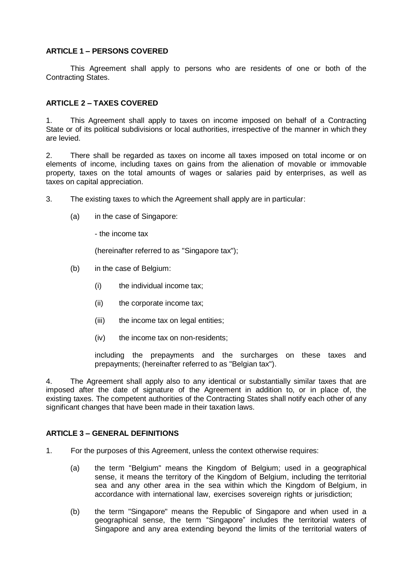## **ARTICLE 1 – PERSONS COVERED**

This Agreement shall apply to persons who are residents of one or both of the Contracting States.

## **ARTICLE 2 – TAXES COVERED**

1. This Agreement shall apply to taxes on income imposed on behalf of a Contracting State or of its political subdivisions or local authorities, irrespective of the manner in which they are levied.

2. There shall be regarded as taxes on income all taxes imposed on total income or on elements of income, including taxes on gains from the alienation of movable or immovable property, taxes on the total amounts of wages or salaries paid by enterprises, as well as taxes on capital appreciation.

3. The existing taxes to which the Agreement shall apply are in particular:

(a) in the case of Singapore:

- the income tax

(hereinafter referred to as "Singapore tax");

- (b) in the case of Belgium:
	- (i) the individual income tax;
	- (ii) the corporate income tax;
	- (iii) the income tax on legal entities;
	- (iv) the income tax on non-residents;

including the prepayments and the surcharges on these taxes and prepayments; (hereinafter referred to as "Belgian tax").

4. The Agreement shall apply also to any identical or substantially similar taxes that are imposed after the date of signature of the Agreement in addition to, or in place of, the existing taxes. The competent authorities of the Contracting States shall notify each other of any significant changes that have been made in their taxation laws.

#### **ARTICLE 3 – GENERAL DEFINITIONS**

- 1. For the purposes of this Agreement, unless the context otherwise requires:
	- (a) the term "Belgium" means the Kingdom of Belgium; used in a geographical sense, it means the territory of the Kingdom of Belgium, including the territorial sea and any other area in the sea within which the Kingdom of Belgium, in accordance with international law, exercises sovereign rights or jurisdiction;
	- (b) the term "Singapore" means the Republic of Singapore and when used in a geographical sense, the term "Singapore" includes the territorial waters of Singapore and any area extending beyond the limits of the territorial waters of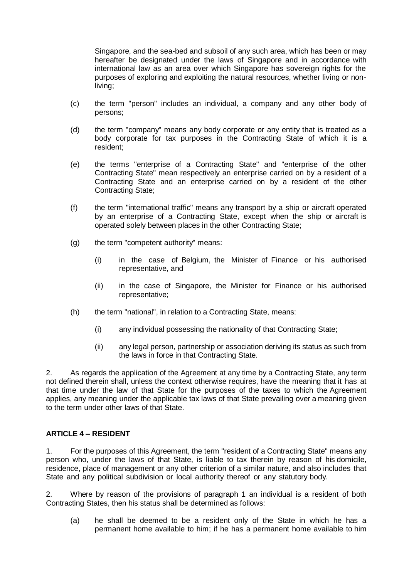Singapore, and the sea-bed and subsoil of any such area, which has been or may hereafter be designated under the laws of Singapore and in accordance with international law as an area over which Singapore has sovereign rights for the purposes of exploring and exploiting the natural resources, whether living or nonliving;

- (c) the term "person" includes an individual, a company and any other body of persons;
- (d) the term "company" means any body corporate or any entity that is treated as a body corporate for tax purposes in the Contracting State of which it is a resident;
- (e) the terms "enterprise of a Contracting State" and "enterprise of the other Contracting State" mean respectively an enterprise carried on by a resident of a Contracting State and an enterprise carried on by a resident of the other Contracting State;
- (f) the term "international traffic" means any transport by a ship or aircraft operated by an enterprise of a Contracting State, except when the ship or aircraft is operated solely between places in the other Contracting State;
- (g) the term "competent authority" means:
	- (i) in the case of Belgium, the Minister of Finance or his authorised representative, and
	- (ii) in the case of Singapore, the Minister for Finance or his authorised representative;
- (h) the term "national", in relation to a Contracting State, means:
	- (i) any individual possessing the nationality of that Contracting State;
	- (ii) any legal person, partnership or association deriving its status as such from the laws in force in that Contracting State.

2. As regards the application of the Agreement at any time by a Contracting State, any term not defined therein shall, unless the context otherwise requires, have the meaning that it has at that time under the law of that State for the purposes of the taxes to which the Agreement applies, any meaning under the applicable tax laws of that State prevailing over a meaning given to the term under other laws of that State.

## **ARTICLE 4 – RESIDENT**

1. For the purposes of this Agreement, the term "resident of a Contracting State" means any person who, under the laws of that State, is liable to tax therein by reason of his domicile, residence, place of management or any other criterion of a similar nature, and also includes that State and any political subdivision or local authority thereof or any statutory body.

2. Where by reason of the provisions of paragraph 1 an individual is a resident of both Contracting States, then his status shall be determined as follows:

(a) he shall be deemed to be a resident only of the State in which he has a permanent home available to him; if he has a permanent home available to him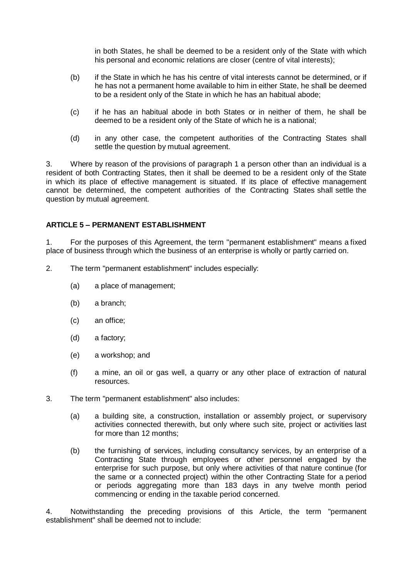in both States, he shall be deemed to be a resident only of the State with which his personal and economic relations are closer (centre of vital interests);

- (b) if the State in which he has his centre of vital interests cannot be determined, or if he has not a permanent home available to him in either State, he shall be deemed to be a resident only of the State in which he has an habitual abode;
- (c) if he has an habitual abode in both States or in neither of them, he shall be deemed to be a resident only of the State of which he is a national;
- (d) in any other case, the competent authorities of the Contracting States shall settle the question by mutual agreement.

3. Where by reason of the provisions of paragraph 1 a person other than an individual is a resident of both Contracting States, then it shall be deemed to be a resident only of the State in which its place of effective management is situated. If its place of effective management cannot be determined, the competent authorities of the Contracting States shall settle the question by mutual agreement.

#### **ARTICLE 5 – PERMANENT ESTABLISHMENT**

1. For the purposes of this Agreement, the term "permanent establishment" means a fixed place of business through which the business of an enterprise is wholly or partly carried on.

- 2. The term "permanent establishment" includes especially:
	- (a) a place of management;
	- (b) a branch;
	- (c) an office;
	- (d) a factory;
	- (e) a workshop; and
	- (f) a mine, an oil or gas well, a quarry or any other place of extraction of natural resources.
- 3. The term "permanent establishment" also includes:
	- (a) a building site, a construction, installation or assembly project, or supervisory activities connected therewith, but only where such site, project or activities last for more than 12 months;
	- (b) the furnishing of services, including consultancy services, by an enterprise of a Contracting State through employees or other personnel engaged by the enterprise for such purpose, but only where activities of that nature continue (for the same or a connected project) within the other Contracting State for a period or periods aggregating more than 183 days in any twelve month period commencing or ending in the taxable period concerned.

4. Notwithstanding the preceding provisions of this Article, the term "permanent establishment" shall be deemed not to include: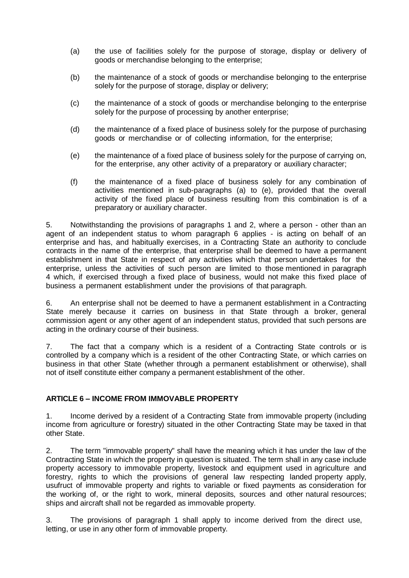- (a) the use of facilities solely for the purpose of storage, display or delivery of goods or merchandise belonging to the enterprise;
- (b) the maintenance of a stock of goods or merchandise belonging to the enterprise solely for the purpose of storage, display or delivery;
- (c) the maintenance of a stock of goods or merchandise belonging to the enterprise solely for the purpose of processing by another enterprise;
- (d) the maintenance of a fixed place of business solely for the purpose of purchasing goods or merchandise or of collecting information, for the enterprise;
- (e) the maintenance of a fixed place of business solely for the purpose of carrying on, for the enterprise, any other activity of a preparatory or auxiliary character;
- (f) the maintenance of a fixed place of business solely for any combination of activities mentioned in sub-paragraphs (a) to (e), provided that the overall activity of the fixed place of business resulting from this combination is of a preparatory or auxiliary character.

5. Notwithstanding the provisions of paragraphs 1 and 2, where a person - other than an agent of an independent status to whom paragraph 6 applies - is acting on behalf of an enterprise and has, and habitually exercises, in a Contracting State an authority to conclude contracts in the name of the enterprise, that enterprise shall be deemed to have a permanent establishment in that State in respect of any activities which that person undertakes for the enterprise, unless the activities of such person are limited to those mentioned in paragraph 4 which, if exercised through a fixed place of business, would not make this fixed place of business a permanent establishment under the provisions of that paragraph.

6. An enterprise shall not be deemed to have a permanent establishment in a Contracting State merely because it carries on business in that State through a broker, general commission agent or any other agent of an independent status, provided that such persons are acting in the ordinary course of their business.

7. The fact that a company which is a resident of a Contracting State controls or is controlled by a company which is a resident of the other Contracting State, or which carries on business in that other State (whether through a permanent establishment or otherwise), shall not of itself constitute either company a permanent establishment of the other.

## **ARTICLE 6 – INCOME FROM IMMOVABLE PROPERTY**

1. Income derived by a resident of a Contracting State from immovable property (including income from agriculture or forestry) situated in the other Contracting State may be taxed in that other State.

2. The term "immovable property" shall have the meaning which it has under the law of the Contracting State in which the property in question is situated. The term shall in any case include property accessory to immovable property, livestock and equipment used in agriculture and forestry, rights to which the provisions of general law respecting landed property apply, usufruct of immovable property and rights to variable or fixed payments as consideration for the working of, or the right to work, mineral deposits, sources and other natural resources; ships and aircraft shall not be regarded as immovable property.

3. The provisions of paragraph 1 shall apply to income derived from the direct use, letting, or use in any other form of immovable property.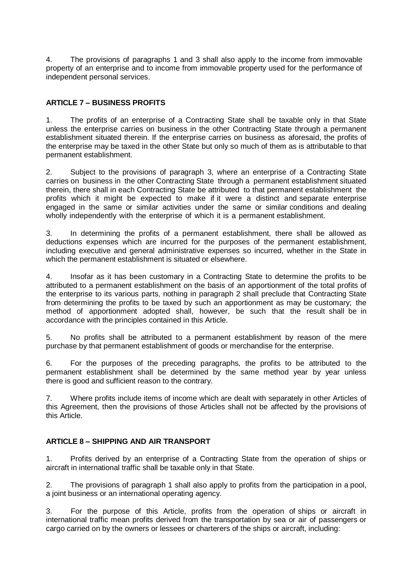4. The provisions of paragraphs 1 and 3 shall also apply to the income from immovable property of an enterprise and to income from immovable property used for the performance of independent personal services.

## **ARTICLE 7 – BUSINESS PROFITS**

1. The profits of an enterprise of a Contracting State shall be taxable only in that State unless the enterprise carries on business in the other Contracting State through a permanent establishment situated therein. If the enterprise carries on business as aforesaid, the profits of the enterprise may be taxed in the other State but only so much of them as is attributable to that permanent establishment.

2. Subject to the provisions of paragraph 3, where an enterprise of a Contracting State carries on business in the other Contracting State through a permanent establishment situated therein, there shall in each Contracting State be attributed to that permanent establishment the profits which it might be expected to make if it were a distinct and separate enterprise engaged in the same or similar activities under the same or similar conditions and dealing wholly independently with the enterprise of which it is a permanent establishment.

3. In determining the profits of a permanent establishment, there shall be allowed as deductions expenses which are incurred for the purposes of the permanent establishment, including executive and general administrative expenses so incurred, whether in the State in which the permanent establishment is situated or elsewhere.

4. Insofar as it has been customary in a Contracting State to determine the profits to be attributed to a permanent establishment on the basis of an apportionment of the total profits of the enterprise to its various parts, nothing in paragraph 2 shall preclude that Contracting State from determining the profits to be taxed by such an apportionment as may be customary; the method of apportionment adopted shall, however, be such that the result shall be in accordance with the principles contained in this Article.

5. No profits shall be attributed to a permanent establishment by reason of the mere purchase by that permanent establishment of goods or merchandise for the enterprise.

6. For the purposes of the preceding paragraphs, the profits to be attributed to the permanent establishment shall be determined by the same method year by year unless there is good and sufficient reason to the contrary.

7. Where profits include items of income which are dealt with separately in other Articles of this Agreement, then the provisions of those Articles shall not be affected by the provisions of this Article.

#### **ARTICLE 8 – SHIPPING AND AIR TRANSPORT**

1. Profits derived by an enterprise of a Contracting State from the operation of ships or aircraft in international traffic shall be taxable only in that State.

2. The provisions of paragraph 1 shall also apply to profits from the participation in a pool, a joint business or an international operating agency.

3. For the purpose of this Article, profits from the operation of ships or aircraft in international traffic mean profits derived from the transportation by sea or air of passengers or cargo carried on by the owners or lessees or charterers of the ships or aircraft, including: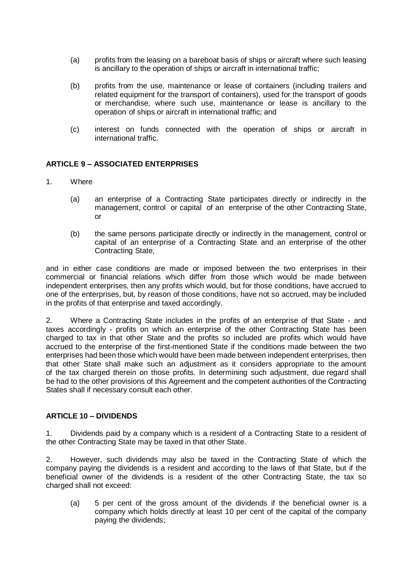- (a) profits from the leasing on a bareboat basis of ships or aircraft where such leasing is ancillary to the operation of ships or aircraft in international traffic;
- (b) profits from the use, maintenance or lease of containers (including trailers and related equipment for the transport of containers), used for the transport of goods or merchandise, where such use, maintenance or lease is ancillary to the operation of ships or aircraft in international traffic; and
- (c) interest on funds connected with the operation of ships or aircraft in international traffic.

## **ARTICLE 9 – ASSOCIATED ENTERPRISES**

- 1. Where
	- (a) an enterprise of a Contracting State participates directly or indirectly in the management, control or capital of an enterprise of the other Contracting State, or
	- (b) the same persons participate directly or indirectly in the management, control or capital of an enterprise of a Contracting State and an enterprise of the other Contracting State,

and in either case conditions are made or imposed between the two enterprises in their commercial or financial relations which differ from those which would be made between independent enterprises, then any profits which would, but for those conditions, have accrued to one of the enterprises, but, by reason of those conditions, have not so accrued, may be included in the profits of that enterprise and taxed accordingly.

2. Where a Contracting State includes in the profits of an enterprise of that State - and taxes accordingly - profits on which an enterprise of the other Contracting State has been charged to tax in that other State and the profits so included are profits which would have accrued to the enterprise of the first-mentioned State if the conditions made between the two enterprises had been those which would have been made between independent enterprises, then that other State shall make such an adjustment as it considers appropriate to the amount of the tax charged therein on those profits. In determining such adjustment, due regard shall be had to the other provisions of this Agreement and the competent authorities of the Contracting States shall if necessary consult each other.

#### **ARTICLE 10 – DIVIDENDS**

1. Dividends paid by a company which is a resident of a Contracting State to a resident of the other Contracting State may be taxed in that other State.

2. However, such dividends may also be taxed in the Contracting State of which the company paying the dividends is a resident and according to the laws of that State, but if the beneficial owner of the dividends is a resident of the other Contracting State, the tax so charged shall not exceed:

(a) 5 per cent of the gross amount of the dividends if the beneficial owner is a company which holds directly at least 10 per cent of the capital of the company paying the dividends;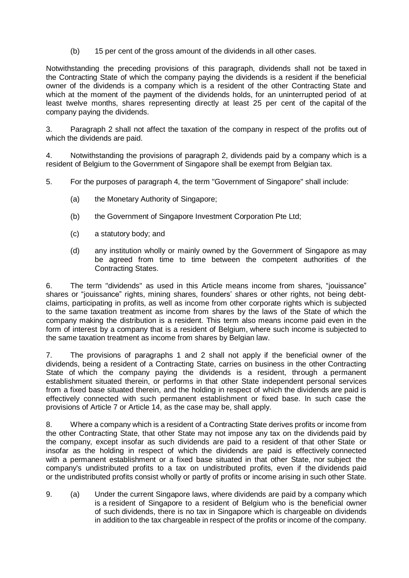(b) 15 per cent of the gross amount of the dividends in all other cases.

Notwithstanding the preceding provisions of this paragraph, dividends shall not be taxed in the Contracting State of which the company paying the dividends is a resident if the beneficial owner of the dividends is a company which is a resident of the other Contracting State and which at the moment of the payment of the dividends holds, for an uninterrupted period of at least twelve months, shares representing directly at least 25 per cent of the capital of the company paying the dividends.

3. Paragraph 2 shall not affect the taxation of the company in respect of the profits out of which the dividends are paid.

4. Notwithstanding the provisions of paragraph 2, dividends paid by a company which is a resident of Belgium to the Government of Singapore shall be exempt from Belgian tax.

5. For the purposes of paragraph 4, the term "Government of Singapore" shall include:

- (a) the Monetary Authority of Singapore;
- (b) the Government of Singapore Investment Corporation Pte Ltd;
- (c) a statutory body; and
- (d) any institution wholly or mainly owned by the Government of Singapore as may be agreed from time to time between the competent authorities of the Contracting States.

6. The term "dividends" as used in this Article means income from shares, "jouissance" shares or "jouissance" rights, mining shares, founders' shares or other rights, not being debtclaims, participating in profits, as well as income from other corporate rights which is subjected to the same taxation treatment as income from shares by the laws of the State of which the company making the distribution is a resident. This term also means income paid even in the form of interest by a company that is a resident of Belgium, where such income is subjected to the same taxation treatment as income from shares by Belgian law.

7. The provisions of paragraphs 1 and 2 shall not apply if the beneficial owner of the dividends, being a resident of a Contracting State, carries on business in the other Contracting State of which the company paying the dividends is a resident, through a permanent establishment situated therein, or performs in that other State independent personal services from a fixed base situated therein, and the holding in respect of which the dividends are paid is effectively connected with such permanent establishment or fixed base. In such case the provisions of Article 7 or Article 14, as the case may be, shall apply.

8. Where a company which is a resident of a Contracting State derives profits or income from the other Contracting State, that other State may not impose any tax on the dividends paid by the company, except insofar as such dividends are paid to a resident of that other State or insofar as the holding in respect of which the dividends are paid is effectively connected with a permanent establishment or a fixed base situated in that other State, nor subject the company's undistributed profits to a tax on undistributed profits, even if the dividends paid or the undistributed profits consist wholly or partly of profits or income arising in such other State.

9. (a) Under the current Singapore laws, where dividends are paid by a company which is a resident of Singapore to a resident of Belgium who is the beneficial owner of such dividends, there is no tax in Singapore which is chargeable on dividends in addition to the tax chargeable in respect of the profits or income of the company.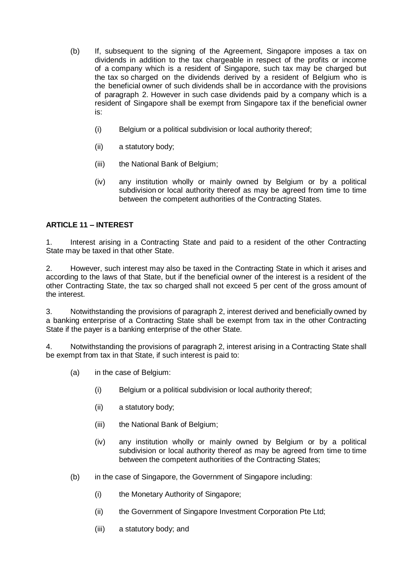- (b) If, subsequent to the signing of the Agreement, Singapore imposes a tax on dividends in addition to the tax chargeable in respect of the profits or income of a company which is a resident of Singapore, such tax may be charged but the tax so charged on the dividends derived by a resident of Belgium who is the beneficial owner of such dividends shall be in accordance with the provisions of paragraph 2. However in such case dividends paid by a company which is a resident of Singapore shall be exempt from Singapore tax if the beneficial owner is:
	- (i) Belgium or a political subdivision or local authority thereof;
	- (ii) a statutory body;
	- (iii) the National Bank of Belgium;
	- (iv) any institution wholly or mainly owned by Belgium or by a political subdivision or local authority thereof as may be agreed from time to time between the competent authorities of the Contracting States.

## **ARTICLE 11 – INTEREST**

1. Interest arising in a Contracting State and paid to a resident of the other Contracting State may be taxed in that other State.

2. However, such interest may also be taxed in the Contracting State in which it arises and according to the laws of that State, but if the beneficial owner of the interest is a resident of the other Contracting State, the tax so charged shall not exceed 5 per cent of the gross amount of the interest.

3. Notwithstanding the provisions of paragraph 2, interest derived and beneficially owned by a banking enterprise of a Contracting State shall be exempt from tax in the other Contracting State if the payer is a banking enterprise of the other State.

4. Notwithstanding the provisions of paragraph 2, interest arising in a Contracting State shall be exempt from tax in that State, if such interest is paid to:

- (a) in the case of Belgium:
	- (i) Belgium or a political subdivision or local authority thereof;
	- (ii) a statutory body;
	- (iii) the National Bank of Belgium;
	- (iv) any institution wholly or mainly owned by Belgium or by a political subdivision or local authority thereof as may be agreed from time to time between the competent authorities of the Contracting States;
- (b) in the case of Singapore, the Government of Singapore including:
	- (i) the Monetary Authority of Singapore;
	- (ii) the Government of Singapore Investment Corporation Pte Ltd;
	- (iii) a statutory body; and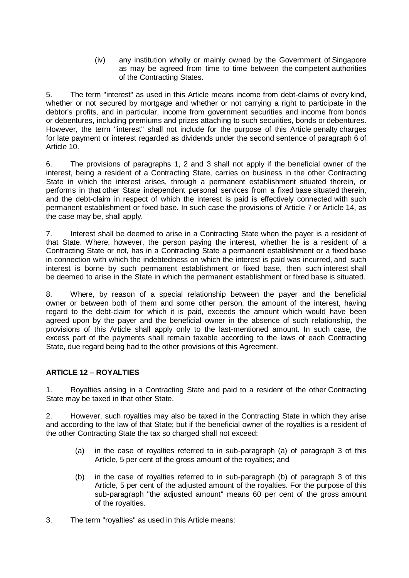(iv) any institution wholly or mainly owned by the Government of Singapore as may be agreed from time to time between the competent authorities of the Contracting States.

5. The term "interest" as used in this Article means income from debt-claims of every kind, whether or not secured by mortgage and whether or not carrying a right to participate in the debtor's profits, and in particular, income from government securities and income from bonds or debentures, including premiums and prizes attaching to such securities, bonds or debentures. However, the term "interest" shall not include for the purpose of this Article penalty charges for late payment or interest regarded as dividends under the second sentence of paragraph 6 of Article 10.

6. The provisions of paragraphs 1, 2 and 3 shall not apply if the beneficial owner of the interest, being a resident of a Contracting State, carries on business in the other Contracting State in which the interest arises, through a permanent establishment situated therein, or performs in that other State independent personal services from a fixed base situated therein, and the debt-claim in respect of which the interest is paid is effectively connected with such permanent establishment or fixed base. In such case the provisions of Article 7 or Article 14, as the case may be, shall apply.

7. Interest shall be deemed to arise in a Contracting State when the payer is a resident of that State. Where, however, the person paying the interest, whether he is a resident of a Contracting State or not, has in a Contracting State a permanent establishment or a fixed base in connection with which the indebtedness on which the interest is paid was incurred, and such interest is borne by such permanent establishment or fixed base, then such interest shall be deemed to arise in the State in which the permanent establishment or fixed base is situated.

8. Where, by reason of a special relationship between the payer and the beneficial owner or between both of them and some other person, the amount of the interest, having regard to the debt-claim for which it is paid, exceeds the amount which would have been agreed upon by the payer and the beneficial owner in the absence of such relationship, the provisions of this Article shall apply only to the last-mentioned amount. In such case, the excess part of the payments shall remain taxable according to the laws of each Contracting State, due regard being had to the other provisions of this Agreement.

## **ARTICLE 12 – ROYALTIES**

1. Royalties arising in a Contracting State and paid to a resident of the other Contracting State may be taxed in that other State.

2. However, such royalties may also be taxed in the Contracting State in which they arise and according to the law of that State; but if the beneficial owner of the royalties is a resident of the other Contracting State the tax so charged shall not exceed:

- (a) in the case of royalties referred to in sub-paragraph (a) of paragraph 3 of this Article, 5 per cent of the gross amount of the royalties; and
- (b) in the case of royalties referred to in sub-paragraph (b) of paragraph 3 of this Article, 5 per cent of the adjusted amount of the royalties. For the purpose of this sub-paragraph "the adjusted amount" means 60 per cent of the gross amount of the royalties.
- 3. The term "royalties" as used in this Article means: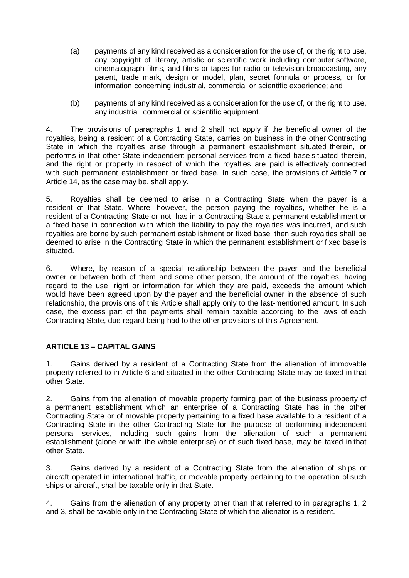- (a) payments of any kind received as a consideration for the use of, or the right to use, any copyright of literary, artistic or scientific work including computer software, cinematograph films, and films or tapes for radio or television broadcasting, any patent, trade mark, design or model, plan, secret formula or process, or for information concerning industrial, commercial or scientific experience; and
- (b) payments of any kind received as a consideration for the use of, or the right to use, any industrial, commercial or scientific equipment.

4. The provisions of paragraphs 1 and 2 shall not apply if the beneficial owner of the royalties, being a resident of a Contracting State, carries on business in the other Contracting State in which the royalties arise through a permanent establishment situated therein, or performs in that other State independent personal services from a fixed base situated therein, and the right or property in respect of which the royalties are paid is effectively connected with such permanent establishment or fixed base. In such case, the provisions of Article 7 or Article 14, as the case may be, shall apply.

5. Royalties shall be deemed to arise in a Contracting State when the payer is a resident of that State. Where, however, the person paying the royalties, whether he is a resident of a Contracting State or not, has in a Contracting State a permanent establishment or a fixed base in connection with which the liability to pay the royalties was incurred, and such royalties are borne by such permanent establishment or fixed base, then such royalties shall be deemed to arise in the Contracting State in which the permanent establishment or fixed base is situated.

6. Where, by reason of a special relationship between the payer and the beneficial owner or between both of them and some other person, the amount of the royalties, having regard to the use, right or information for which they are paid, exceeds the amount which would have been agreed upon by the payer and the beneficial owner in the absence of such relationship, the provisions of this Article shall apply only to the last-mentioned amount. In such case, the excess part of the payments shall remain taxable according to the laws of each Contracting State, due regard being had to the other provisions of this Agreement.

## **ARTICLE 13 – CAPITAL GAINS**

1. Gains derived by a resident of a Contracting State from the alienation of immovable property referred to in Article 6 and situated in the other Contracting State may be taxed in that other State.

2. Gains from the alienation of movable property forming part of the business property of a permanent establishment which an enterprise of a Contracting State has in the other Contracting State or of movable property pertaining to a fixed base available to a resident of a Contracting State in the other Contracting State for the purpose of performing independent personal services, including such gains from the alienation of such a permanent establishment (alone or with the whole enterprise) or of such fixed base, may be taxed in that other State.

3. Gains derived by a resident of a Contracting State from the alienation of ships or aircraft operated in international traffic, or movable property pertaining to the operation of such ships or aircraft, shall be taxable only in that State.

4. Gains from the alienation of any property other than that referred to in paragraphs 1, 2 and 3, shall be taxable only in the Contracting State of which the alienator is a resident.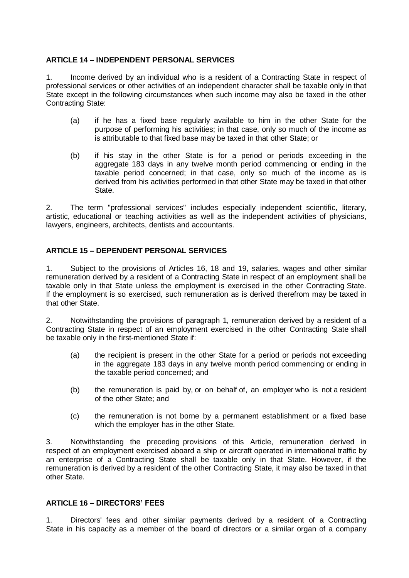## **ARTICLE 14 – INDEPENDENT PERSONAL SERVICES**

1. Income derived by an individual who is a resident of a Contracting State in respect of professional services or other activities of an independent character shall be taxable only in that State except in the following circumstances when such income may also be taxed in the other Contracting State:

- (a) if he has a fixed base regularly available to him in the other State for the purpose of performing his activities; in that case, only so much of the income as is attributable to that fixed base may be taxed in that other State; or
- (b) if his stay in the other State is for a period or periods exceeding in the aggregate 183 days in any twelve month period commencing or ending in the taxable period concerned; in that case, only so much of the income as is derived from his activities performed in that other State may be taxed in that other State.

2. The term "professional services" includes especially independent scientific, literary, artistic, educational or teaching activities as well as the independent activities of physicians, lawyers, engineers, architects, dentists and accountants.

## **ARTICLE 15 – DEPENDENT PERSONAL SERVICES**

1. Subject to the provisions of Articles 16, 18 and 19, salaries, wages and other similar remuneration derived by a resident of a Contracting State in respect of an employment shall be taxable only in that State unless the employment is exercised in the other Contracting State. If the employment is so exercised, such remuneration as is derived therefrom may be taxed in that other State.

2. Notwithstanding the provisions of paragraph 1, remuneration derived by a resident of a Contracting State in respect of an employment exercised in the other Contracting State shall be taxable only in the first-mentioned State if:

- (a) the recipient is present in the other State for a period or periods not exceeding in the aggregate 183 days in any twelve month period commencing or ending in the taxable period concerned; and
- (b) the remuneration is paid by, or on behalf of, an employer who is not a resident of the other State; and
- (c) the remuneration is not borne by a permanent establishment or a fixed base which the employer has in the other State.

3. Notwithstanding the preceding provisions of this Article, remuneration derived in respect of an employment exercised aboard a ship or aircraft operated in international traffic by an enterprise of a Contracting State shall be taxable only in that State. However, if the remuneration is derived by a resident of the other Contracting State, it may also be taxed in that other State.

#### **ARTICLE 16 – DIRECTORS' FEES**

1. Directors' fees and other similar payments derived by a resident of a Contracting State in his capacity as a member of the board of directors or a similar organ of a company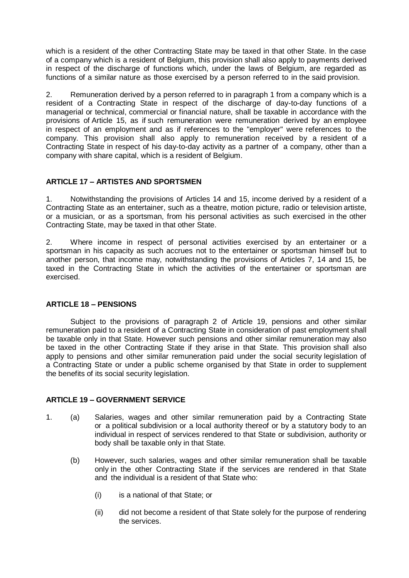which is a resident of the other Contracting State may be taxed in that other State. In the case of a company which is a resident of Belgium, this provision shall also apply to payments derived in respect of the discharge of functions which, under the laws of Belgium, are regarded as functions of a similar nature as those exercised by a person referred to in the said provision.

2. Remuneration derived by a person referred to in paragraph 1 from a company which is a resident of a Contracting State in respect of the discharge of day-to-day functions of a managerial or technical, commercial or financial nature, shall be taxable in accordance with the provisions of Article 15, as if such remuneration were remuneration derived by an employee in respect of an employment and as if references to the "employer" were references to the company. This provision shall also apply to remuneration received by a resident of a Contracting State in respect of his day-to-day activity as a partner of a company, other than a company with share capital, which is a resident of Belgium.

## **ARTICLE 17 – ARTISTES AND SPORTSMEN**

1. Notwithstanding the provisions of Articles 14 and 15, income derived by a resident of a Contracting State as an entertainer, such as a theatre, motion picture, radio or television artiste, or a musician, or as a sportsman, from his personal activities as such exercised in the other Contracting State, may be taxed in that other State.

2. Where income in respect of personal activities exercised by an entertainer or a sportsman in his capacity as such accrues not to the entertainer or sportsman himself but to another person, that income may, notwithstanding the provisions of Articles 7, 14 and 15, be taxed in the Contracting State in which the activities of the entertainer or sportsman are exercised.

#### **ARTICLE 18 – PENSIONS**

Subject to the provisions of paragraph 2 of Article 19, pensions and other similar remuneration paid to a resident of a Contracting State in consideration of past employment shall be taxable only in that State. However such pensions and other similar remuneration may also be taxed in the other Contracting State if they arise in that State. This provision shall also apply to pensions and other similar remuneration paid under the social security legislation of a Contracting State or under a public scheme organised by that State in order to supplement the benefits of its social security legislation.

#### **ARTICLE 19 – GOVERNMENT SERVICE**

- 1. (a) Salaries, wages and other similar remuneration paid by a Contracting State or a political subdivision or a local authority thereof or by a statutory body to an individual in respect of services rendered to that State or subdivision, authority or body shall be taxable only in that State.
	- (b) However, such salaries, wages and other similar remuneration shall be taxable only in the other Contracting State if the services are rendered in that State and the individual is a resident of that State who:
		- (i) is a national of that State; or
		- (ii) did not become a resident of that State solely for the purpose of rendering the services.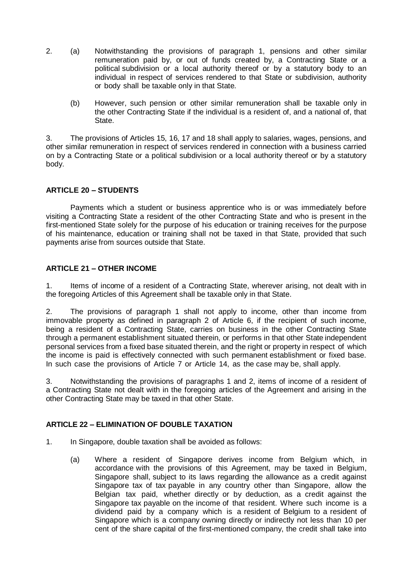- 2. (a) Notwithstanding the provisions of paragraph 1, pensions and other similar remuneration paid by, or out of funds created by, a Contracting State or a political subdivision or a local authority thereof or by a statutory body to an individual in respect of services rendered to that State or subdivision, authority or body shall be taxable only in that State.
	- (b) However, such pension or other similar remuneration shall be taxable only in the other Contracting State if the individual is a resident of, and a national of, that State.

3. The provisions of Articles 15, 16, 17 and 18 shall apply to salaries, wages, pensions, and other similar remuneration in respect of services rendered in connection with a business carried on by a Contracting State or a political subdivision or a local authority thereof or by a statutory body.

## **ARTICLE 20 – STUDENTS**

Payments which a student or business apprentice who is or was immediately before visiting a Contracting State a resident of the other Contracting State and who is present in the first-mentioned State solely for the purpose of his education or training receives for the purpose of his maintenance, education or training shall not be taxed in that State, provided that such payments arise from sources outside that State.

## **ARTICLE 21 – OTHER INCOME**

1. Items of income of a resident of a Contracting State, wherever arising, not dealt with in the foregoing Articles of this Agreement shall be taxable only in that State.

2. The provisions of paragraph 1 shall not apply to income, other than income from immovable property as defined in paragraph 2 of Article 6, if the recipient of such income, being a resident of a Contracting State, carries on business in the other Contracting State through a permanent establishment situated therein, or performs in that other State independent personal services from a fixed base situated therein, and the right or property in respect of which the income is paid is effectively connected with such permanent establishment or fixed base. In such case the provisions of Article 7 or Article 14, as the case may be, shall apply.

3. Notwithstanding the provisions of paragraphs 1 and 2, items of income of a resident of a Contracting State not dealt with in the foregoing articles of the Agreement and arising in the other Contracting State may be taxed in that other State.

## **ARTICLE 22 – ELIMINATION OF DOUBLE TAXATION**

- 1. In Singapore, double taxation shall be avoided as follows:
	- (a) Where a resident of Singapore derives income from Belgium which, in accordance with the provisions of this Agreement, may be taxed in Belgium, Singapore shall, subject to its laws regarding the allowance as a credit against Singapore tax of tax payable in any country other than Singapore, allow the Belgian tax paid, whether directly or by deduction, as a credit against the Singapore tax payable on the income of that resident. Where such income is a dividend paid by a company which is a resident of Belgium to a resident of Singapore which is a company owning directly or indirectly not less than 10 per cent of the share capital of the first-mentioned company, the credit shall take into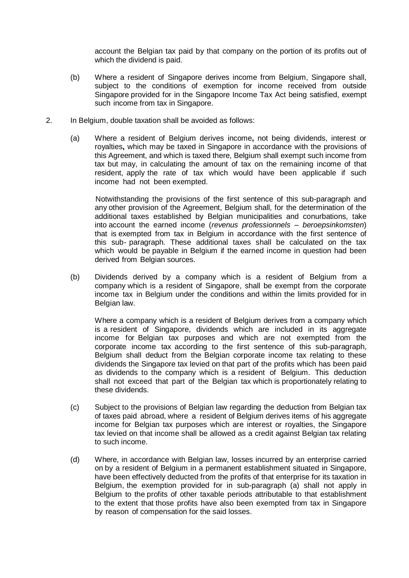account the Belgian tax paid by that company on the portion of its profits out of which the dividend is paid*.*

- (b) Where a resident of Singapore derives income from Belgium, Singapore shall, subject to the conditions of exemption for income received from outside Singapore provided for in the Singapore Income Tax Act being satisfied, exempt such income from tax in Singapore.
- 2. In Belgium, double taxation shall be avoided as follows:
	- (a) Where a resident of Belgium derives income**,** not being dividends, interest or royalties**,** which may be taxed in Singapore in accordance with the provisions of this Agreement, and which is taxed there, Belgium shall exempt such income from tax but may, in calculating the amount of tax on the remaining income of that resident, apply the rate of tax which would have been applicable if such income had not been exempted.

Notwithstanding the provisions of the first sentence of this sub-paragraph and any other provision of the Agreement, Belgium shall, for the determination of the additional taxes established by Belgian municipalities and conurbations, take into account the earned income (*revenus professionnels – beroepsinkomsten*) that is exempted from tax in Belgium in accordance with the first sentence of this sub- paragraph. These additional taxes shall be calculated on the tax which would be payable in Belgium if the earned income in question had been derived from Belgian sources.

(b) Dividends derived by a company which is a resident of Belgium from a company which is a resident of Singapore, shall be exempt from the corporate income tax in Belgium under the conditions and within the limits provided for in Belgian law.

Where a company which is a resident of Belgium derives from a company which is a resident of Singapore, dividends which are included in its aggregate income for Belgian tax purposes and which are not exempted from the corporate income tax according to the first sentence of this sub-paragraph, Belgium shall deduct from the Belgian corporate income tax relating to these dividends the Singapore tax levied on that part of the profits which has been paid as dividends to the company which is a resident of Belgium. This deduction shall not exceed that part of the Belgian tax which is proportionately relating to these dividends.

- (c) Subject to the provisions of Belgian law regarding the deduction from Belgian tax of taxes paid abroad, where a resident of Belgium derives items of his aggregate income for Belgian tax purposes which are interest or royalties, the Singapore tax levied on that income shall be allowed as a credit against Belgian tax relating to such income.
- (d) Where, in accordance with Belgian law, losses incurred by an enterprise carried on by a resident of Belgium in a permanent establishment situated in Singapore, have been effectively deducted from the profits of that enterprise for its taxation in Belgium, the exemption provided for in sub-paragraph (a) shall not apply in Belgium to the profits of other taxable periods attributable to that establishment to the extent that those profits have also been exempted from tax in Singapore by reason of compensation for the said losses.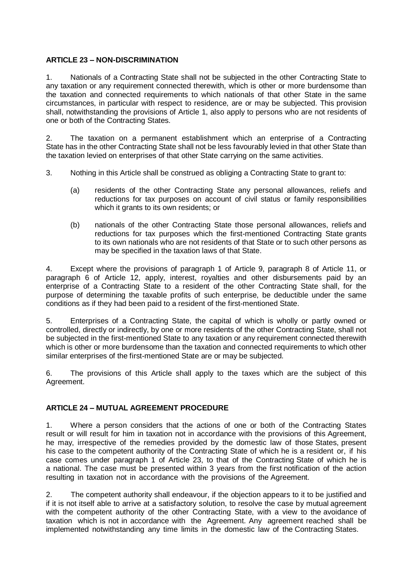## **ARTICLE 23 – NON-DISCRIMINATION**

1. Nationals of a Contracting State shall not be subjected in the other Contracting State to any taxation or any requirement connected therewith, which is other or more burdensome than the taxation and connected requirements to which nationals of that other State in the same circumstances, in particular with respect to residence, are or may be subjected. This provision shall, notwithstanding the provisions of Article 1, also apply to persons who are not residents of one or both of the Contracting States.

2. The taxation on a permanent establishment which an enterprise of a Contracting State has in the other Contracting State shall not be less favourably levied in that other State than the taxation levied on enterprises of that other State carrying on the same activities.

- 3. Nothing in this Article shall be construed as obliging a Contracting State to grant to:
	- (a) residents of the other Contracting State any personal allowances, reliefs and reductions for tax purposes on account of civil status or family responsibilities which it grants to its own residents; or
	- (b) nationals of the other Contracting State those personal allowances, reliefs and reductions for tax purposes which the first-mentioned Contracting State grants to its own nationals who are not residents of that State or to such other persons as may be specified in the taxation laws of that State.

4. Except where the provisions of paragraph 1 of Article 9, paragraph 8 of Article 11, or paragraph 6 of Article 12, apply, interest, royalties and other disbursements paid by an enterprise of a Contracting State to a resident of the other Contracting State shall, for the purpose of determining the taxable profits of such enterprise, be deductible under the same conditions as if they had been paid to a resident of the first-mentioned State.

5. Enterprises of a Contracting State, the capital of which is wholly or partly owned or controlled, directly or indirectly, by one or more residents of the other Contracting State, shall not be subjected in the first-mentioned State to any taxation or any requirement connected therewith which is other or more burdensome than the taxation and connected requirements to which other similar enterprises of the first-mentioned State are or may be subjected.

6. The provisions of this Article shall apply to the taxes which are the subject of this Agreement.

## **ARTICLE 24 – MUTUAL AGREEMENT PROCEDURE**

1. Where a person considers that the actions of one or both of the Contracting States result or will result for him in taxation not in accordance with the provisions of this Agreement, he may, irrespective of the remedies provided by the domestic law of those States, present his case to the competent authority of the Contracting State of which he is a resident or, if his case comes under paragraph 1 of Article 23, to that of the Contracting State of which he is a national. The case must be presented within 3 years from the first notification of the action resulting in taxation not in accordance with the provisions of the Agreement.

2. The competent authority shall endeavour, if the objection appears to it to be justified and if it is not itself able to arrive at a satisfactory solution, to resolve the case by mutual agreement with the competent authority of the other Contracting State, with a view to the avoidance of taxation which is not in accordance with the Agreement. Any agreement reached shall be implemented notwithstanding any time limits in the domestic law of the Contracting States.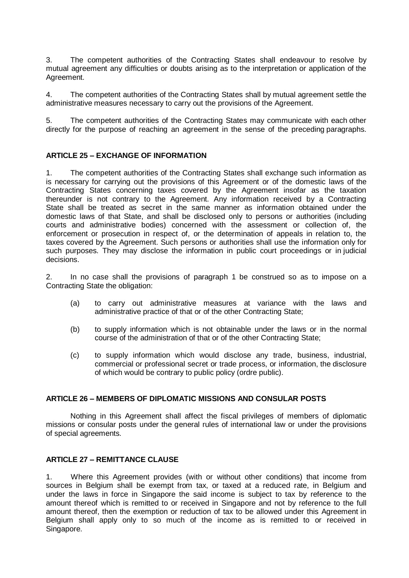3. The competent authorities of the Contracting States shall endeavour to resolve by mutual agreement any difficulties or doubts arising as to the interpretation or application of the Agreement.

4. The competent authorities of the Contracting States shall by mutual agreement settle the administrative measures necessary to carry out the provisions of the Agreement.

5. The competent authorities of the Contracting States may communicate with each other directly for the purpose of reaching an agreement in the sense of the preceding paragraphs.

#### **ARTICLE 25 – EXCHANGE OF INFORMATION**

1. The competent authorities of the Contracting States shall exchange such information as is necessary for carrying out the provisions of this Agreement or of the domestic laws of the Contracting States concerning taxes covered by the Agreement insofar as the taxation thereunder is not contrary to the Agreement. Any information received by a Contracting State shall be treated as secret in the same manner as information obtained under the domestic laws of that State, and shall be disclosed only to persons or authorities (including courts and administrative bodies) concerned with the assessment or collection of, the enforcement or prosecution in respect of, or the determination of appeals in relation to, the taxes covered by the Agreement. Such persons or authorities shall use the information only for such purposes. They may disclose the information in public court proceedings or in judicial decisions.

2. In no case shall the provisions of paragraph 1 be construed so as to impose on a Contracting State the obligation:

- (a) to carry out administrative measures at variance with the laws and administrative practice of that or of the other Contracting State;
- (b) to supply information which is not obtainable under the laws or in the normal course of the administration of that or of the other Contracting State;
- (c) to supply information which would disclose any trade, business, industrial, commercial or professional secret or trade process, or information, the disclosure of which would be contrary to public policy (ordre public).

#### **ARTICLE 26 – MEMBERS OF DIPLOMATIC MISSIONS AND CONSULAR POSTS**

Nothing in this Agreement shall affect the fiscal privileges of members of diplomatic missions or consular posts under the general rules of international law or under the provisions of special agreements.

#### **ARTICLE 27 – REMITTANCE CLAUSE**

1. Where this Agreement provides (with or without other conditions) that income from sources in Belgium shall be exempt from tax, or taxed at a reduced rate, in Belgium and under the laws in force in Singapore the said income is subject to tax by reference to the amount thereof which is remitted to or received in Singapore and not by reference to the full amount thereof, then the exemption or reduction of tax to be allowed under this Agreement in Belgium shall apply only to so much of the income as is remitted to or received in Singapore.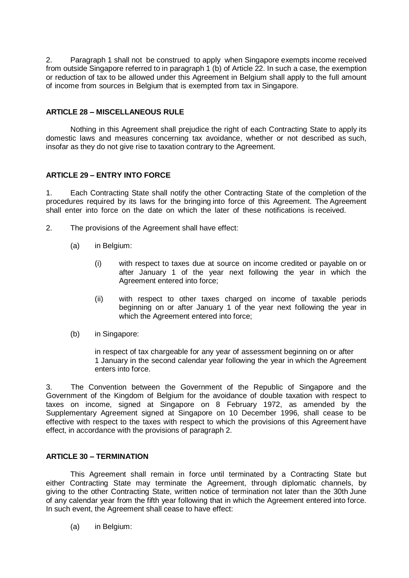2. Paragraph 1 shall not be construed to apply when Singapore exempts income received from outside Singapore referred to in paragraph 1 (b) of Article 22. In such a case, the exemption or reduction of tax to be allowed under this Agreement in Belgium shall apply to the full amount of income from sources in Belgium that is exempted from tax in Singapore.

#### **ARTICLE 28 – MISCELLANEOUS RULE**

Nothing in this Agreement shall prejudice the right of each Contracting State to apply its domestic laws and measures concerning tax avoidance, whether or not described as such, insofar as they do not give rise to taxation contrary to the Agreement.

#### **ARTICLE 29 – ENTRY INTO FORCE**

1. Each Contracting State shall notify the other Contracting State of the completion of the procedures required by its laws for the bringing into force of this Agreement. The Agreement shall enter into force on the date on which the later of these notifications is received.

- 2. The provisions of the Agreement shall have effect:
	- (a) in Belgium:
		- (i) with respect to taxes due at source on income credited or payable on or after January 1 of the year next following the year in which the Agreement entered into force;
		- (ii) with respect to other taxes charged on income of taxable periods beginning on or after January 1 of the year next following the year in which the Agreement entered into force;
	- (b) in Singapore:

in respect of tax chargeable for any year of assessment beginning on or after 1 January in the second calendar year following the year in which the Agreement enters into force.

3. The Convention between the Government of the Republic of Singapore and the Government of the Kingdom of Belgium for the avoidance of double taxation with respect to taxes on income, signed at Singapore on 8 February 1972, as amended by the Supplementary Agreement signed at Singapore on 10 December 1996, shall cease to be effective with respect to the taxes with respect to which the provisions of this Agreement have effect, in accordance with the provisions of paragraph 2.

#### **ARTICLE 30 – TERMINATION**

This Agreement shall remain in force until terminated by a Contracting State but either Contracting State may terminate the Agreement, through diplomatic channels, by giving to the other Contracting State, written notice of termination not later than the 30th June of any calendar year from the fifth year following that in which the Agreement entered into force. In such event, the Agreement shall cease to have effect:

(a) in Belgium: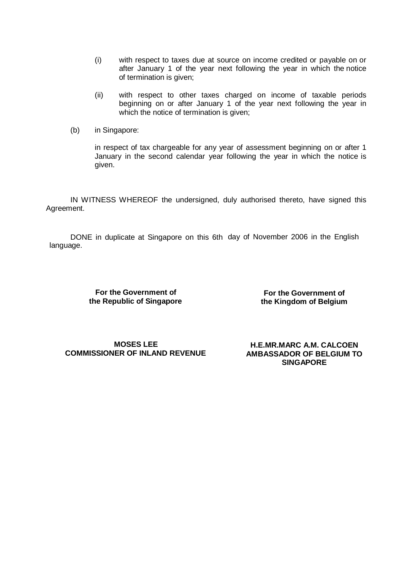- (i) with respect to taxes due at source on income credited or payable on or after January 1 of the year next following the year in which the notice of termination is given;
- (ii) with respect to other taxes charged on income of taxable periods beginning on or after January 1 of the year next following the year in which the notice of termination is given:
- (b) in Singapore:

in respect of tax chargeable for any year of assessment beginning on or after 1 January in the second calendar year following the year in which the notice is given.

IN WITNESS WHEREOF the undersigned, duly authorised thereto, have signed this Agreement.

DONE in duplicate at Singapore on this 6th day of November 2006 in the English language.

> **For the Government of the Republic of Singapore**

**For the Government of the Kingdom of Belgium**

**MOSES LEE COMMISSIONER OF INLAND REVENUE**

**H.E.MR.MARC A.M. CALCOEN AMBASSADOR OF BELGIUM TO SINGAPORE**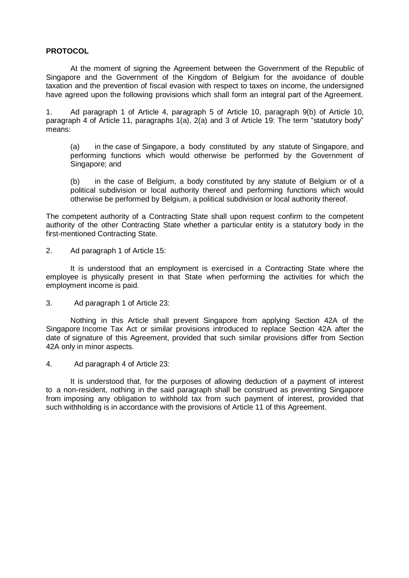#### **PROTOCOL**

At the moment of signing the Agreement between the Government of the Republic of Singapore and the Government of the Kingdom of Belgium for the avoidance of double taxation and the prevention of fiscal evasion with respect to taxes on income, the undersigned have agreed upon the following provisions which shall form an integral part of the Agreement.

1. Ad paragraph 1 of Article 4, paragraph 5 of Article 10, paragraph 9(b) of Article 10, paragraph 4 of Article 11, paragraphs 1(a), 2(a) and 3 of Article 19: The term "statutory body" means:

(a) in the case of Singapore, a body constituted by any statute of Singapore, and performing functions which would otherwise be performed by the Government of Singapore; and

(b) in the case of Belgium, a body constituted by any statute of Belgium or of a political subdivision or local authority thereof and performing functions which would otherwise be performed by Belgium, a political subdivision or local authority thereof.

The competent authority of a Contracting State shall upon request confirm to the competent authority of the other Contracting State whether a particular entity is a statutory body in the first-mentioned Contracting State.

2. Ad paragraph 1 of Article 15:

It is understood that an employment is exercised in a Contracting State where the employee is physically present in that State when performing the activities for which the employment income is paid.

3. Ad paragraph 1 of Article 23:

Nothing in this Article shall prevent Singapore from applying Section 42A of the Singapore Income Tax Act or similar provisions introduced to replace Section 42A after the date of signature of this Agreement, provided that such similar provisions differ from Section 42A only in minor aspects.

4. Ad paragraph 4 of Article 23:

It is understood that, for the purposes of allowing deduction of a payment of interest to a non-resident, nothing in the said paragraph shall be construed as preventing Singapore from imposing any obligation to withhold tax from such payment of interest, provided that such withholding is in accordance with the provisions of Article 11 of this Agreement.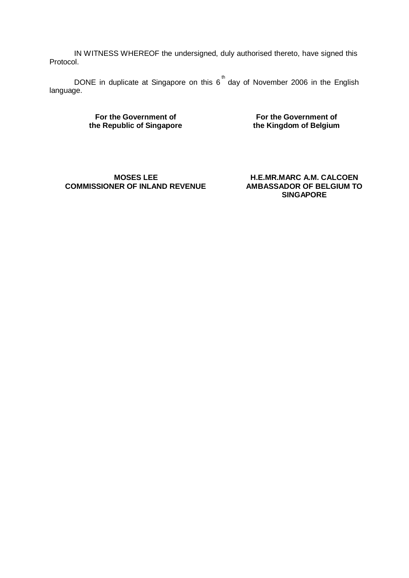IN WITNESS WHEREOF the undersigned, duly authorised thereto, have signed this Protocol.

DONE in duplicate at Singapore on this  $6^{th}$  day of November 2006 in the English language.

> **For the Government of the Republic of Singapore**

**For the Government of the Kingdom of Belgium**

**MOSES LEE COMMISSIONER OF INLAND REVENUE**

**H.E.MR.MARC A.M. CALCOEN AMBASSADOR OF BELGIUM TO SINGAPORE**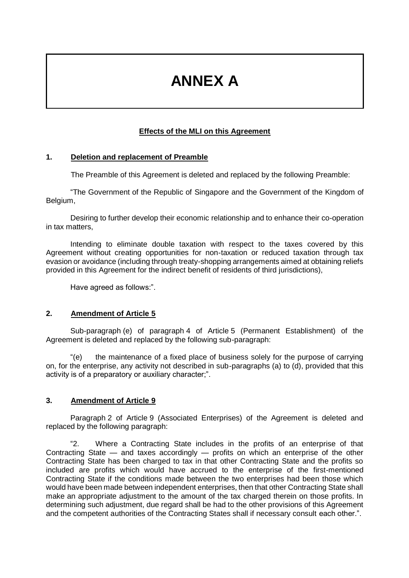## **ANNEX A**

## **Effects of the MLI on this Agreement**

#### **1. Deletion and replacement of Preamble**

The Preamble of this Agreement is deleted and replaced by the following Preamble:

"The Government of the Republic of Singapore and the Government of the Kingdom of Belgium,

Desiring to further develop their economic relationship and to enhance their co-operation in tax matters,

 Intending to eliminate double taxation with respect to the taxes covered by this Agreement without creating opportunities for non-taxation or reduced taxation through tax evasion or avoidance (including through treaty-shopping arrangements aimed at obtaining reliefs provided in this Agreement for the indirect benefit of residents of third jurisdictions),

Have agreed as follows:".

#### **2. Amendment of Article 5**

Sub-paragraph (e) of paragraph 4 of Article 5 (Permanent Establishment) of the Agreement is deleted and replaced by the following sub-paragraph:

"(e) the maintenance of a fixed place of business solely for the purpose of carrying on, for the enterprise, any activity not described in sub-paragraphs (a) to (d), provided that this activity is of a preparatory or auxiliary character;".

## **3. Amendment of Article 9**

Paragraph 2 of Article 9 (Associated Enterprises) of the Agreement is deleted and replaced by the following paragraph:

"2. Where a Contracting State includes in the profits of an enterprise of that Contracting State — and taxes accordingly — profits on which an enterprise of the other Contracting State has been charged to tax in that other Contracting State and the profits so included are profits which would have accrued to the enterprise of the first-mentioned Contracting State if the conditions made between the two enterprises had been those which would have been made between independent enterprises, then that other Contracting State shall make an appropriate adjustment to the amount of the tax charged therein on those profits. In determining such adjustment, due regard shall be had to the other provisions of this Agreement and the competent authorities of the Contracting States shall if necessary consult each other.".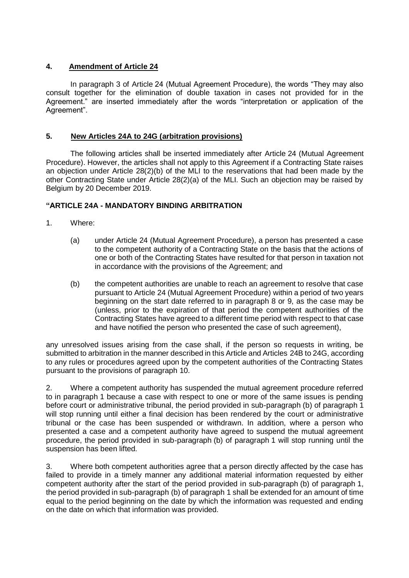## **4. Amendment of Article 24**

In paragraph 3 of Article 24 (Mutual Agreement Procedure), the words "They may also consult together for the elimination of double taxation in cases not provided for in the Agreement." are inserted immediately after the words "interpretation or application of the Agreement".

## **5. New Articles 24A to 24G (arbitration provisions)**

The following articles shall be inserted immediately after Article 24 (Mutual Agreement Procedure). However, the articles shall not apply to this Agreement if a Contracting State raises an objection under Article 28(2)(b) of the MLI to the reservations that had been made by the other Contracting State under Article 28(2)(a) of the MLI. Such an objection may be raised by Belgium by 20 December 2019.

## **"ARTICLE 24A - MANDATORY BINDING ARBITRATION**

- 1. Where:
	- (a) under Article 24 (Mutual Agreement Procedure), a person has presented a case to the competent authority of a Contracting State on the basis that the actions of one or both of the Contracting States have resulted for that person in taxation not in accordance with the provisions of the Agreement; and
	- (b) the competent authorities are unable to reach an agreement to resolve that case pursuant to Article 24 (Mutual Agreement Procedure) within a period of two years beginning on the start date referred to in paragraph 8 or 9, as the case may be (unless, prior to the expiration of that period the competent authorities of the Contracting States have agreed to a different time period with respect to that case and have notified the person who presented the case of such agreement),

any unresolved issues arising from the case shall, if the person so requests in writing, be submitted to arbitration in the manner described in this Article and Articles 24B to 24G, according to any rules or procedures agreed upon by the competent authorities of the Contracting States pursuant to the provisions of paragraph 10.

2. Where a competent authority has suspended the mutual agreement procedure referred to in paragraph 1 because a case with respect to one or more of the same issues is pending before court or administrative tribunal, the period provided in sub-paragraph (b) of paragraph 1 will stop running until either a final decision has been rendered by the court or administrative tribunal or the case has been suspended or withdrawn. In addition, where a person who presented a case and a competent authority have agreed to suspend the mutual agreement procedure, the period provided in sub-paragraph (b) of paragraph 1 will stop running until the suspension has been lifted.

3. Where both competent authorities agree that a person directly affected by the case has failed to provide in a timely manner any additional material information requested by either competent authority after the start of the period provided in sub-paragraph (b) of paragraph 1, the period provided in sub-paragraph (b) of paragraph 1 shall be extended for an amount of time equal to the period beginning on the date by which the information was requested and ending on the date on which that information was provided.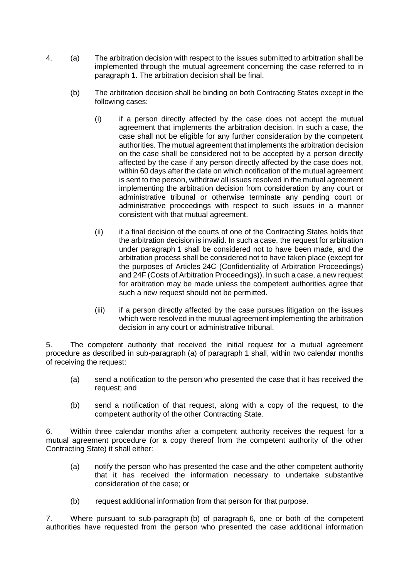- 4. (a) The arbitration decision with respect to the issues submitted to arbitration shall be implemented through the mutual agreement concerning the case referred to in paragraph 1. The arbitration decision shall be final.
	- (b) The arbitration decision shall be binding on both Contracting States except in the following cases:
		- (i) if a person directly affected by the case does not accept the mutual agreement that implements the arbitration decision. In such a case, the case shall not be eligible for any further consideration by the competent authorities. The mutual agreement that implements the arbitration decision on the case shall be considered not to be accepted by a person directly affected by the case if any person directly affected by the case does not, within 60 days after the date on which notification of the mutual agreement is sent to the person, withdraw all issues resolved in the mutual agreement implementing the arbitration decision from consideration by any court or administrative tribunal or otherwise terminate any pending court or administrative proceedings with respect to such issues in a manner consistent with that mutual agreement.
		- (ii) if a final decision of the courts of one of the Contracting States holds that the arbitration decision is invalid. In such a case, the request for arbitration under paragraph 1 shall be considered not to have been made, and the arbitration process shall be considered not to have taken place (except for the purposes of Articles 24C (Confidentiality of Arbitration Proceedings) and 24F (Costs of Arbitration Proceedings)). In such a case, a new request for arbitration may be made unless the competent authorities agree that such a new request should not be permitted.
		- (iii) if a person directly affected by the case pursues litigation on the issues which were resolved in the mutual agreement implementing the arbitration decision in any court or administrative tribunal.

5. The competent authority that received the initial request for a mutual agreement procedure as described in sub-paragraph (a) of paragraph 1 shall, within two calendar months of receiving the request:

- (a) send a notification to the person who presented the case that it has received the request; and
- (b) send a notification of that request, along with a copy of the request, to the competent authority of the other Contracting State.

6. Within three calendar months after a competent authority receives the request for a mutual agreement procedure (or a copy thereof from the competent authority of the other Contracting State) it shall either:

- (a) notify the person who has presented the case and the other competent authority that it has received the information necessary to undertake substantive consideration of the case; or
- (b) request additional information from that person for that purpose.

7. Where pursuant to sub-paragraph (b) of paragraph 6, one or both of the competent authorities have requested from the person who presented the case additional information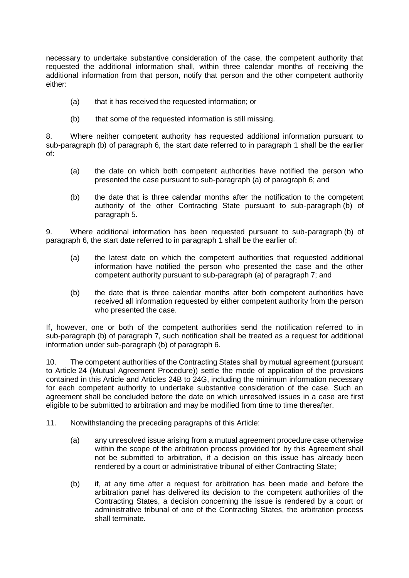necessary to undertake substantive consideration of the case, the competent authority that requested the additional information shall, within three calendar months of receiving the additional information from that person, notify that person and the other competent authority either:

- (a) that it has received the requested information; or
- (b) that some of the requested information is still missing.

8. Where neither competent authority has requested additional information pursuant to sub-paragraph (b) of paragraph 6, the start date referred to in paragraph 1 shall be the earlier of:

- (a) the date on which both competent authorities have notified the person who presented the case pursuant to sub-paragraph (a) of paragraph 6; and
- (b) the date that is three calendar months after the notification to the competent authority of the other Contracting State pursuant to sub-paragraph (b) of paragraph 5.

9. Where additional information has been requested pursuant to sub-paragraph (b) of paragraph 6, the start date referred to in paragraph 1 shall be the earlier of:

- (a) the latest date on which the competent authorities that requested additional information have notified the person who presented the case and the other competent authority pursuant to sub-paragraph (a) of paragraph 7; and
- (b) the date that is three calendar months after both competent authorities have received all information requested by either competent authority from the person who presented the case.

If, however, one or both of the competent authorities send the notification referred to in sub-paragraph (b) of paragraph 7, such notification shall be treated as a request for additional information under sub-paragraph (b) of paragraph 6.

10. The competent authorities of the Contracting States shall by mutual agreement (pursuant to Article 24 (Mutual Agreement Procedure)) settle the mode of application of the provisions contained in this Article and Articles 24B to 24G, including the minimum information necessary for each competent authority to undertake substantive consideration of the case. Such an agreement shall be concluded before the date on which unresolved issues in a case are first eligible to be submitted to arbitration and may be modified from time to time thereafter.

11. Notwithstanding the preceding paragraphs of this Article:

- (a) any unresolved issue arising from a mutual agreement procedure case otherwise within the scope of the arbitration process provided for by this Agreement shall not be submitted to arbitration, if a decision on this issue has already been rendered by a court or administrative tribunal of either Contracting State;
- (b) if, at any time after a request for arbitration has been made and before the arbitration panel has delivered its decision to the competent authorities of the Contracting States, a decision concerning the issue is rendered by a court or administrative tribunal of one of the Contracting States, the arbitration process shall terminate.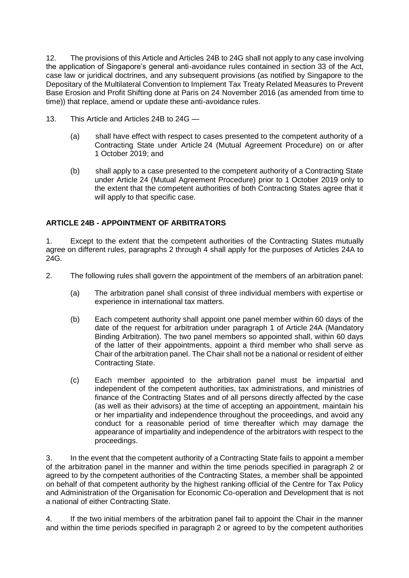12. The provisions of this Article and Articles 24B to 24G shall not apply to any case involving the application of Singapore's general anti-avoidance rules contained in section 33 of the Act, case law or juridical doctrines, and any subsequent provisions (as notified by Singapore to the Depositary of the Multilateral Convention to Implement Tax Treaty Related Measures to Prevent Base Erosion and Profit Shifting done at Paris on 24 November 2016 (as amended from time to time)) that replace, amend or update these anti-avoidance rules.

- 13. This Article and Articles 24B to 24G
	- (a) shall have effect with respect to cases presented to the competent authority of a Contracting State under Article 24 (Mutual Agreement Procedure) on or after 1 October 2019; and
	- (b) shall apply to a case presented to the competent authority of a Contracting State under Article 24 (Mutual Agreement Procedure) prior to 1 October 2019 only to the extent that the competent authorities of both Contracting States agree that it will apply to that specific case.

## **ARTICLE 24B - APPOINTMENT OF ARBITRATORS**

1. Except to the extent that the competent authorities of the Contracting States mutually agree on different rules, paragraphs 2 through 4 shall apply for the purposes of Articles 24A to 24G.

- 2. The following rules shall govern the appointment of the members of an arbitration panel:
	- (a) The arbitration panel shall consist of three individual members with expertise or experience in international tax matters.
	- (b) Each competent authority shall appoint one panel member within 60 days of the date of the request for arbitration under paragraph 1 of Article 24A (Mandatory Binding Arbitration). The two panel members so appointed shall, within 60 days of the latter of their appointments, appoint a third member who shall serve as Chair of the arbitration panel. The Chair shall not be a national or resident of either Contracting State.
	- (c) Each member appointed to the arbitration panel must be impartial and independent of the competent authorities, tax administrations, and ministries of finance of the Contracting States and of all persons directly affected by the case (as well as their advisors) at the time of accepting an appointment, maintain his or her impartiality and independence throughout the proceedings, and avoid any conduct for a reasonable period of time thereafter which may damage the appearance of impartiality and independence of the arbitrators with respect to the proceedings.

3. In the event that the competent authority of a Contracting State fails to appoint a member of the arbitration panel in the manner and within the time periods specified in paragraph 2 or agreed to by the competent authorities of the Contracting States, a member shall be appointed on behalf of that competent authority by the highest ranking official of the Centre for Tax Policy and Administration of the Organisation for Economic Co-operation and Development that is not a national of either Contracting State.

4. If the two initial members of the arbitration panel fail to appoint the Chair in the manner and within the time periods specified in paragraph 2 or agreed to by the competent authorities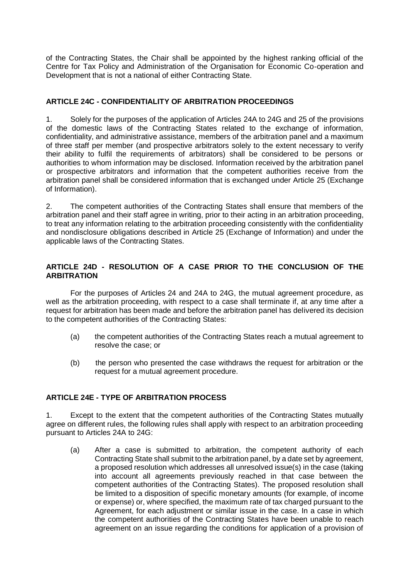of the Contracting States, the Chair shall be appointed by the highest ranking official of the Centre for Tax Policy and Administration of the Organisation for Economic Co-operation and Development that is not a national of either Contracting State.

#### **ARTICLE 24C - CONFIDENTIALITY OF ARBITRATION PROCEEDINGS**

1. Solely for the purposes of the application of Articles 24A to 24G and 25 of the provisions of the domestic laws of the Contracting States related to the exchange of information, confidentiality, and administrative assistance, members of the arbitration panel and a maximum of three staff per member (and prospective arbitrators solely to the extent necessary to verify their ability to fulfil the requirements of arbitrators) shall be considered to be persons or authorities to whom information may be disclosed. Information received by the arbitration panel or prospective arbitrators and information that the competent authorities receive from the arbitration panel shall be considered information that is exchanged under Article 25 (Exchange of Information).

2. The competent authorities of the Contracting States shall ensure that members of the arbitration panel and their staff agree in writing, prior to their acting in an arbitration proceeding, to treat any information relating to the arbitration proceeding consistently with the confidentiality and nondisclosure obligations described in Article 25 (Exchange of Information) and under the applicable laws of the Contracting States.

## **ARTICLE 24D - RESOLUTION OF A CASE PRIOR TO THE CONCLUSION OF THE ARBITRATION**

For the purposes of Articles 24 and 24A to 24G, the mutual agreement procedure, as well as the arbitration proceeding, with respect to a case shall terminate if, at any time after a request for arbitration has been made and before the arbitration panel has delivered its decision to the competent authorities of the Contracting States:

- (a) the competent authorities of the Contracting States reach a mutual agreement to resolve the case; or
- (b) the person who presented the case withdraws the request for arbitration or the request for a mutual agreement procedure.

#### **ARTICLE 24E - TYPE OF ARBITRATION PROCESS**

1. Except to the extent that the competent authorities of the Contracting States mutually agree on different rules, the following rules shall apply with respect to an arbitration proceeding pursuant to Articles 24A to 24G:

(a) After a case is submitted to arbitration, the competent authority of each Contracting State shall submit to the arbitration panel, by a date set by agreement, a proposed resolution which addresses all unresolved issue(s) in the case (taking into account all agreements previously reached in that case between the competent authorities of the Contracting States). The proposed resolution shall be limited to a disposition of specific monetary amounts (for example, of income or expense) or, where specified, the maximum rate of tax charged pursuant to the Agreement, for each adjustment or similar issue in the case. In a case in which the competent authorities of the Contracting States have been unable to reach agreement on an issue regarding the conditions for application of a provision of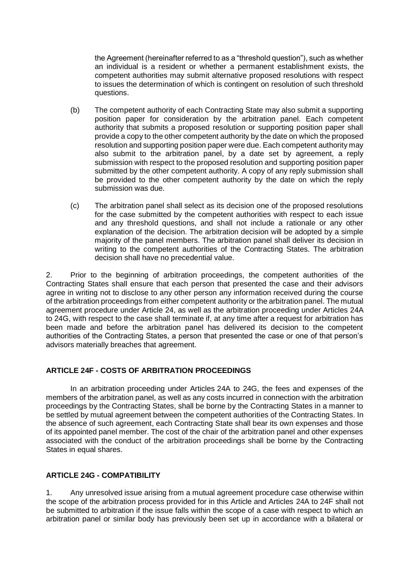the Agreement (hereinafter referred to as a "threshold question"), such as whether an individual is a resident or whether a permanent establishment exists, the competent authorities may submit alternative proposed resolutions with respect to issues the determination of which is contingent on resolution of such threshold questions.

- (b) The competent authority of each Contracting State may also submit a supporting position paper for consideration by the arbitration panel. Each competent authority that submits a proposed resolution or supporting position paper shall provide a copy to the other competent authority by the date on which the proposed resolution and supporting position paper were due. Each competent authority may also submit to the arbitration panel, by a date set by agreement, a reply submission with respect to the proposed resolution and supporting position paper submitted by the other competent authority. A copy of any reply submission shall be provided to the other competent authority by the date on which the reply submission was due.
- (c) The arbitration panel shall select as its decision one of the proposed resolutions for the case submitted by the competent authorities with respect to each issue and any threshold questions, and shall not include a rationale or any other explanation of the decision. The arbitration decision will be adopted by a simple majority of the panel members. The arbitration panel shall deliver its decision in writing to the competent authorities of the Contracting States. The arbitration decision shall have no precedential value.

2. Prior to the beginning of arbitration proceedings, the competent authorities of the Contracting States shall ensure that each person that presented the case and their advisors agree in writing not to disclose to any other person any information received during the course of the arbitration proceedings from either competent authority or the arbitration panel. The mutual agreement procedure under Article 24, as well as the arbitration proceeding under Articles 24A to 24G, with respect to the case shall terminate if, at any time after a request for arbitration has been made and before the arbitration panel has delivered its decision to the competent authorities of the Contracting States, a person that presented the case or one of that person's advisors materially breaches that agreement.

## **ARTICLE 24F - COSTS OF ARBITRATION PROCEEDINGS**

In an arbitration proceeding under Articles 24A to 24G, the fees and expenses of the members of the arbitration panel, as well as any costs incurred in connection with the arbitration proceedings by the Contracting States, shall be borne by the Contracting States in a manner to be settled by mutual agreement between the competent authorities of the Contracting States. In the absence of such agreement, each Contracting State shall bear its own expenses and those of its appointed panel member. The cost of the chair of the arbitration panel and other expenses associated with the conduct of the arbitration proceedings shall be borne by the Contracting States in equal shares.

#### **ARTICLE 24G - COMPATIBILITY**

1. Any unresolved issue arising from a mutual agreement procedure case otherwise within the scope of the arbitration process provided for in this Article and Articles 24A to 24F shall not be submitted to arbitration if the issue falls within the scope of a case with respect to which an arbitration panel or similar body has previously been set up in accordance with a bilateral or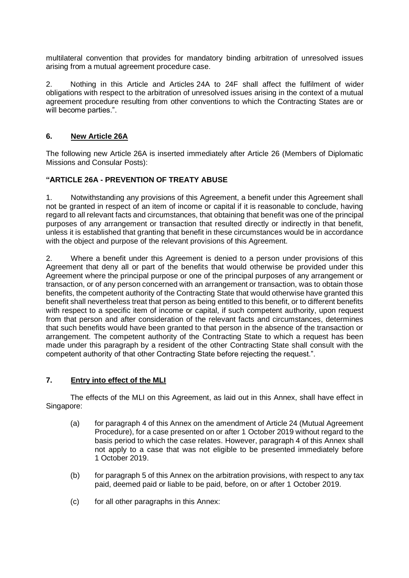multilateral convention that provides for mandatory binding arbitration of unresolved issues arising from a mutual agreement procedure case.

2. Nothing in this Article and Articles 24A to 24F shall affect the fulfilment of wider obligations with respect to the arbitration of unresolved issues arising in the context of a mutual agreement procedure resulting from other conventions to which the Contracting States are or will become parties.".

## **6. New Article 26A**

The following new Article 26A is inserted immediately after Article 26 (Members of Diplomatic Missions and Consular Posts):

## **"ARTICLE 26A - PREVENTION OF TREATY ABUSE**

1. Notwithstanding any provisions of this Agreement, a benefit under this Agreement shall not be granted in respect of an item of income or capital if it is reasonable to conclude, having regard to all relevant facts and circumstances, that obtaining that benefit was one of the principal purposes of any arrangement or transaction that resulted directly or indirectly in that benefit, unless it is established that granting that benefit in these circumstances would be in accordance with the object and purpose of the relevant provisions of this Agreement.

2. Where a benefit under this Agreement is denied to a person under provisions of this Agreement that deny all or part of the benefits that would otherwise be provided under this Agreement where the principal purpose or one of the principal purposes of any arrangement or transaction, or of any person concerned with an arrangement or transaction, was to obtain those benefits, the competent authority of the Contracting State that would otherwise have granted this benefit shall nevertheless treat that person as being entitled to this benefit, or to different benefits with respect to a specific item of income or capital, if such competent authority, upon request from that person and after consideration of the relevant facts and circumstances, determines that such benefits would have been granted to that person in the absence of the transaction or arrangement. The competent authority of the Contracting State to which a request has been made under this paragraph by a resident of the other Contracting State shall consult with the competent authority of that other Contracting State before rejecting the request.".

#### **7. Entry into effect of the MLI**

The effects of the MLI on this Agreement, as laid out in this Annex, shall have effect in Singapore:

- (a) for paragraph 4 of this Annex on the amendment of Article 24 (Mutual Agreement Procedure), for a case presented on or after 1 October 2019 without regard to the basis period to which the case relates. However, paragraph 4 of this Annex shall not apply to a case that was not eligible to be presented immediately before 1 October 2019.
- (b) for paragraph 5 of this Annex on the arbitration provisions, with respect to any tax paid, deemed paid or liable to be paid, before, on or after 1 October 2019.
- (c) for all other paragraphs in this Annex: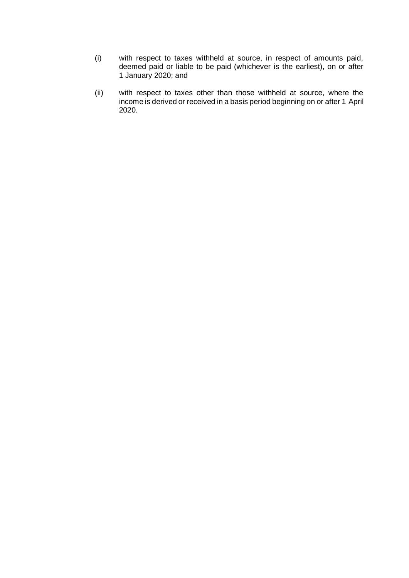- (i) with respect to taxes withheld at source, in respect of amounts paid, deemed paid or liable to be paid (whichever is the earliest), on or after 1 January 2020; and
- (ii) with respect to taxes other than those withheld at source, where the income is derived or received in a basis period beginning on or after 1 April 2020.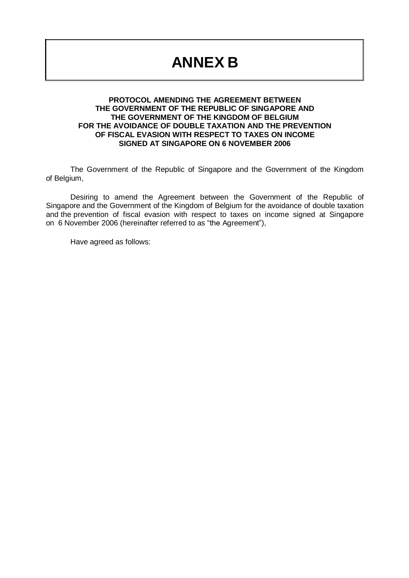## **ANNEX B**

#### **PROTOCOL AMENDING THE AGREEMENT BETWEEN THE GOVERNMENT OF THE REPUBLIC OF SINGAPORE AND THE GOVERNMENT OF THE KINGDOM OF BELGIUM FOR THE AVOIDANCE OF DOUBLE TAXATION AND THE PREVENTION OF FISCAL EVASION WITH RESPECT TO TAXES ON INCOME SIGNED AT SINGAPORE ON 6 NOVEMBER 2006**

The Government of the Republic of Singapore and the Government of the Kingdom of Belgium,

Desiring to amend the Agreement between the Government of the Republic of Singapore and the Government of the Kingdom of Belgium for the avoidance of double taxation and the prevention of fiscal evasion with respect to taxes on income signed at Singapore on 6 November 2006 (hereinafter referred to as "the Agreement"),

Have agreed as follows: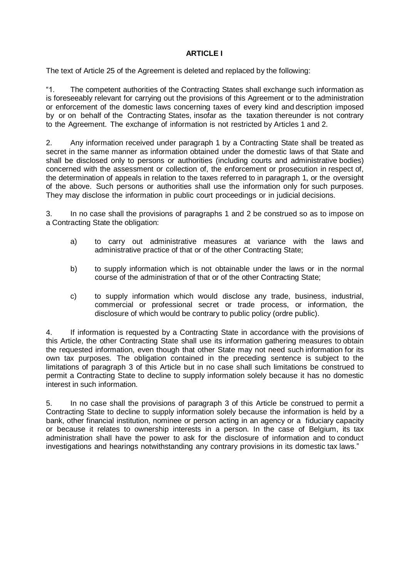## **ARTICLE I**

The text of Article 25 of the Agreement is deleted and replaced by the following:

"1. The competent authorities of the Contracting States shall exchange such information as is foreseeably relevant for carrying out the provisions of this Agreement or to the administration or enforcement of the domestic laws concerning taxes of every kind and description imposed by or on behalf of the Contracting States, insofar as the taxation thereunder is not contrary to the Agreement. The exchange of information is not restricted by Articles 1 and 2.

2. Any information received under paragraph 1 by a Contracting State shall be treated as secret in the same manner as information obtained under the domestic laws of that State and shall be disclosed only to persons or authorities (including courts and administrative bodies) concerned with the assessment or collection of, the enforcement or prosecution in respect of, the determination of appeals in relation to the taxes referred to in paragraph 1, or the oversight of the above. Such persons or authorities shall use the information only for such purposes. They may disclose the information in public court proceedings or in judicial decisions.

3. In no case shall the provisions of paragraphs 1 and 2 be construed so as to impose on a Contracting State the obligation:

- a) to carry out administrative measures at variance with the laws and administrative practice of that or of the other Contracting State;
- b) to supply information which is not obtainable under the laws or in the normal course of the administration of that or of the other Contracting State;
- c) to supply information which would disclose any trade, business, industrial, commercial or professional secret or trade process, or information, the disclosure of which would be contrary to public policy (ordre public).

4. If information is requested by a Contracting State in accordance with the provisions of this Article, the other Contracting State shall use its information gathering measures to obtain the requested information, even though that other State may not need such information for its own tax purposes. The obligation contained in the preceding sentence is subject to the limitations of paragraph 3 of this Article but in no case shall such limitations be construed to permit a Contracting State to decline to supply information solely because it has no domestic interest in such information.

5. In no case shall the provisions of paragraph 3 of this Article be construed to permit a Contracting State to decline to supply information solely because the information is held by a bank, other financial institution, nominee or person acting in an agency or a fiduciary capacity or because it relates to ownership interests in a person. In the case of Belgium, its tax administration shall have the power to ask for the disclosure of information and to conduct investigations and hearings notwithstanding any contrary provisions in its domestic tax laws."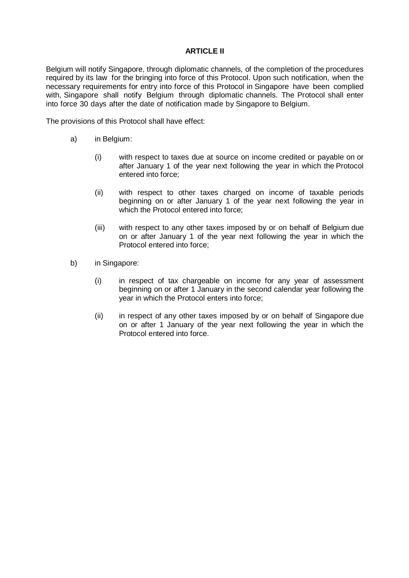#### **ARTICLE II**

Belgium will notify Singapore, through diplomatic channels, of the completion of the procedures required by its law for the bringing into force of this Protocol. Upon such notification, when the necessary requirements for entry into force of this Protocol in Singapore have been complied with, Singapore shall notify Belgium through diplomatic channels. The Protocol shall enter into force 30 days after the date of notification made by Singapore to Belgium.

The provisions of this Protocol shall have effect:

- a) in Belgium:
	- (i) with respect to taxes due at source on income credited or payable on or after January 1 of the year next following the year in which the Protocol entered into force;
	- (ii) with respect to other taxes charged on income of taxable periods beginning on or after January 1 of the year next following the year in which the Protocol entered into force;
	- (iii) with respect to any other taxes imposed by or on behalf of Belgium due on or after January 1 of the year next following the year in which the Protocol entered into force;
- b) in Singapore:
	- (i) in respect of tax chargeable on income for any year of assessment beginning on or after 1 January in the second calendar year following the year in which the Protocol enters into force;
	- (ii) in respect of any other taxes imposed by or on behalf of Singapore due on or after 1 January of the year next following the year in which the Protocol entered into force.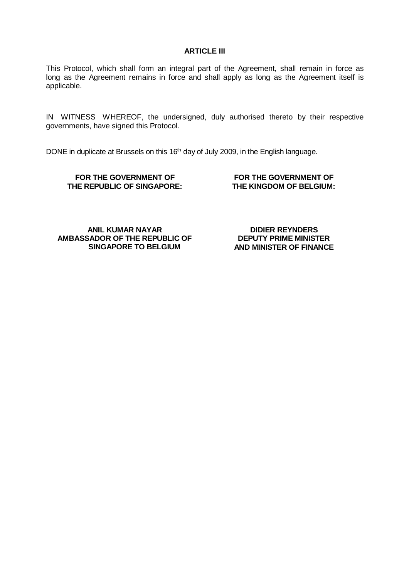#### **ARTICLE III**

This Protocol, which shall form an integral part of the Agreement, shall remain in force as long as the Agreement remains in force and shall apply as long as the Agreement itself is applicable.

IN WITNESS WHEREOF, the undersigned, duly authorised thereto by their respective governments, have signed this Protocol.

DONE in duplicate at Brussels on this 16<sup>th</sup> day of July 2009, in the English language.

#### **FOR THE GOVERNMENT OF THE REPUBLIC OF SINGAPORE:**

**FOR THE GOVERNMENT OF THE KINGDOM OF BELGIUM:**

**ANIL KUMAR NAYAR AMBASSADOR OF THE REPUBLIC OF SINGAPORE TO BELGIUM**

**DIDIER REYNDERS DEPUTY PRIME MINISTER AND MINISTER OF FINANCE**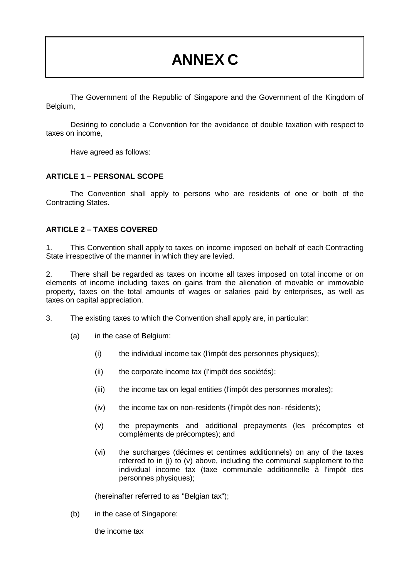# **ANNEX C**

The Government of the Republic of Singapore and the Government of the Kingdom of Belgium,

Desiring to conclude a Convention for the avoidance of double taxation with respect to taxes on income,

Have agreed as follows:

## **ARTICLE 1 – PERSONAL SCOPE**

The Convention shall apply to persons who are residents of one or both of the Contracting States.

## **ARTICLE 2 – TAXES COVERED**

1. This Convention shall apply to taxes on income imposed on behalf of each Contracting State irrespective of the manner in which they are levied.

2. There shall be regarded as taxes on income all taxes imposed on total income or on elements of income including taxes on gains from the alienation of movable or immovable property, taxes on the total amounts of wages or salaries paid by enterprises, as well as taxes on capital appreciation.

- 3. The existing taxes to which the Convention shall apply are, in particular:
	- (a) in the case of Belgium:
		- (i) the individual income tax (l'impôt des personnes physiques);
		- (ii) the corporate income tax (l'impôt des sociétés);
		- (iii) the income tax on legal entities (l'impôt des personnes morales);
		- (iv) the income tax on non-residents (l'impôt des non- résidents);
		- (v) the prepayments and additional prepayments (les précomptes et compléments de précomptes); and
		- (vi) the surcharges (décimes et centimes additionnels) on any of the taxes referred to in (i) to (v) above, including the communal supplement to the individual income tax (taxe communale additionnelle à l'impôt des personnes physiques);

(hereinafter referred to as "Belgian tax");

(b) in the case of Singapore:

the income tax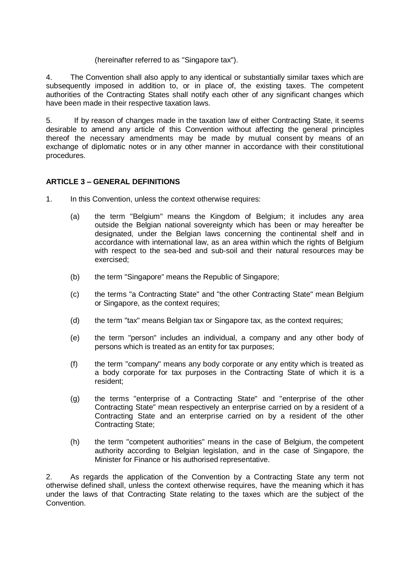## (hereinafter referred to as "Singapore tax").

4. The Convention shall also apply to any identical or substantially similar taxes which are subsequently imposed in addition to, or in place of, the existing taxes. The competent authorities of the Contracting States shall notify each other of any significant changes which have been made in their respective taxation laws.

5. If by reason of changes made in the taxation law of either Contracting State, it seems desirable to amend any article of this Convention without affecting the general principles thereof the necessary amendments may be made by mutual consent by means of an exchange of diplomatic notes or in any other manner in accordance with their constitutional procedures.

## **ARTICLE 3 – GENERAL DEFINITIONS**

- 1. In this Convention, unless the context otherwise requires:
	- (a) the term "Belgium" means the Kingdom of Belgium; it includes any area outside the Belgian national sovereignty which has been or may hereafter be designated, under the Belgian laws concerning the continental shelf and in accordance with international law, as an area within which the rights of Belgium with respect to the sea-bed and sub-soil and their natural resources may be exercised;
	- (b) the term "Singapore" means the Republic of Singapore;
	- (c) the terms "a Contracting State" and "the other Contracting State" mean Belgium or Singapore, as the context requires;
	- (d) the term "tax" means Belgian tax or Singapore tax, as the context requires;
	- (e) the term "person" includes an individual, a company and any other body of persons which is treated as an entity for tax purposes;
	- (f) the term "company" means any body corporate or any entity which is treated as a body corporate for tax purposes in the Contracting State of which it is a resident;
	- (g) the terms "enterprise of a Contracting State" and "enterprise of the other Contracting State" mean respectively an enterprise carried on by a resident of a Contracting State and an enterprise carried on by a resident of the other Contracting State;
	- (h) the term "competent authorities" means in the case of Belgium, the competent authority according to Belgian legislation, and in the case of Singapore, the Minister for Finance or his authorised representative.

As regards the application of the Convention by a Contracting State any term not otherwise defined shall, unless the context otherwise requires, have the meaning which it has under the laws of that Contracting State relating to the taxes which are the subject of the **Convention**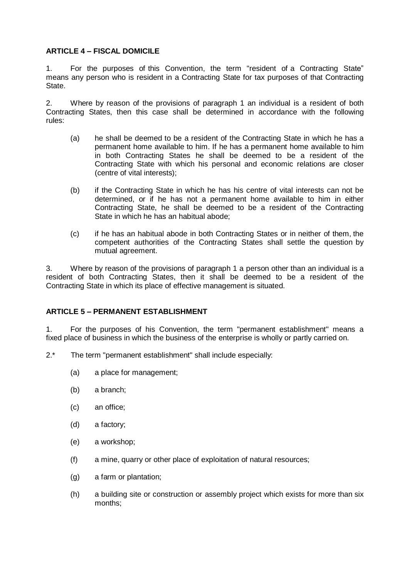## **ARTICLE 4 – FISCAL DOMICILE**

1. For the purposes of this Convention, the term "resident of a Contracting State" means any person who is resident in a Contracting State for tax purposes of that Contracting State.

2. Where by reason of the provisions of paragraph 1 an individual is a resident of both Contracting States, then this case shall be determined in accordance with the following rules:

- (a) he shall be deemed to be a resident of the Contracting State in which he has a permanent home available to him. If he has a permanent home available to him in both Contracting States he shall be deemed to be a resident of the Contracting State with which his personal and economic relations are closer (centre of vital interests);
- (b) if the Contracting State in which he has his centre of vital interests can not be determined, or if he has not a permanent home available to him in either Contracting State, he shall be deemed to be a resident of the Contracting State in which he has an habitual abode;
- (c) if he has an habitual abode in both Contracting States or in neither of them, the competent authorities of the Contracting States shall settle the question by mutual agreement.

3. Where by reason of the provisions of paragraph 1 a person other than an individual is a resident of both Contracting States, then it shall be deemed to be a resident of the Contracting State in which its place of effective management is situated.

#### **ARTICLE 5 – PERMANENT ESTABLISHMENT**

1. For the purposes of his Convention, the term "permanent establishment" means a fixed place of business in which the business of the enterprise is wholly or partly carried on.

2.\* The term "permanent establishment" shall include especially:

- (a) a place for management;
- (b) a branch;
- (c) an office;
- (d) a factory;
- (e) a workshop;
- (f) a mine, quarry or other place of exploitation of natural resources;
- (g) a farm or plantation;
- (h) a building site or construction or assembly project which exists for more than six months;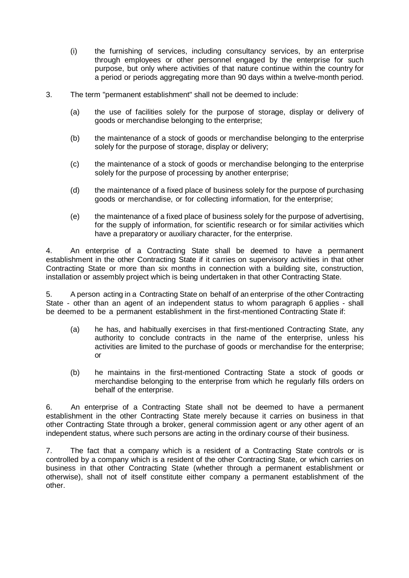- (i) the furnishing of services, including consultancy services, by an enterprise through employees or other personnel engaged by the enterprise for such purpose, but only where activities of that nature continue within the country for a period or periods aggregating more than 90 days within a twelve-month period.
- 3. The term "permanent establishment" shall not be deemed to include:
	- (a) the use of facilities solely for the purpose of storage, display or delivery of goods or merchandise belonging to the enterprise;
	- (b) the maintenance of a stock of goods or merchandise belonging to the enterprise solely for the purpose of storage, display or delivery;
	- (c) the maintenance of a stock of goods or merchandise belonging to the enterprise solely for the purpose of processing by another enterprise;
	- (d) the maintenance of a fixed place of business solely for the purpose of purchasing goods or merchandise, or for collecting information, for the enterprise;
	- (e) the maintenance of a fixed place of business solely for the purpose of advertising, for the supply of information, for scientific research or for similar activities which have a preparatory or auxiliary character, for the enterprise.

4. An enterprise of a Contracting State shall be deemed to have a permanent establishment in the other Contracting State if it carries on supervisory activities in that other Contracting State or more than six months in connection with a building site, construction, installation or assembly project which is being undertaken in that other Contracting State.

5. A person acting in a Contracting State on behalf of an enterprise of the other Contracting State - other than an agent of an independent status to whom paragraph 6 applies - shall be deemed to be a permanent establishment in the first-mentioned Contracting State if:

- (a) he has, and habitually exercises in that first-mentioned Contracting State, any authority to conclude contracts in the name of the enterprise, unless his activities are limited to the purchase of goods or merchandise for the enterprise; or
- (b) he maintains in the first-mentioned Contracting State a stock of goods or merchandise belonging to the enterprise from which he regularly fills orders on behalf of the enterprise.

6. An enterprise of a Contracting State shall not be deemed to have a permanent establishment in the other Contracting State merely because it carries on business in that other Contracting State through a broker, general commission agent or any other agent of an independent status, where such persons are acting in the ordinary course of their business.

7. The fact that a company which is a resident of a Contracting State controls or is controlled by a company which is a resident of the other Contracting State, or which carries on business in that other Contracting State (whether through a permanent establishment or otherwise), shall not of itself constitute either company a permanent establishment of the other.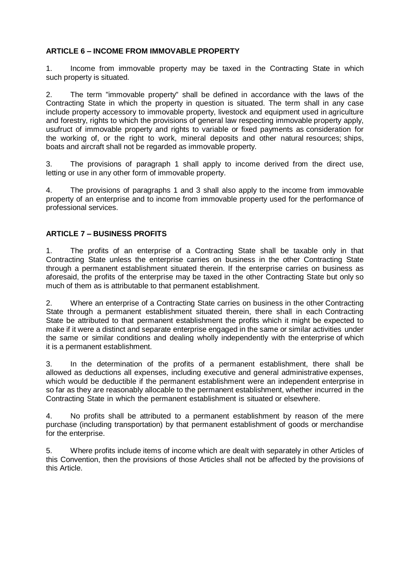## **ARTICLE 6 – INCOME FROM IMMOVABLE PROPERTY**

1. Income from immovable property may be taxed in the Contracting State in which such property is situated.

2. The term "immovable property" shall be defined in accordance with the laws of the Contracting State in which the property in question is situated. The term shall in any case include property accessory to immovable property, livestock and equipment used in agriculture and forestry, rights to which the provisions of general law respecting immovable property apply, usufruct of immovable property and rights to variable or fixed payments as consideration for the working of, or the right to work, mineral deposits and other natural resources; ships, boats and aircraft shall not be regarded as immovable property.

3. The provisions of paragraph 1 shall apply to income derived from the direct use, letting or use in any other form of immovable property.

4. The provisions of paragraphs 1 and 3 shall also apply to the income from immovable property of an enterprise and to income from immovable property used for the performance of professional services.

## **ARTICLE 7 – BUSINESS PROFITS**

1. The profits of an enterprise of a Contracting State shall be taxable only in that Contracting State unless the enterprise carries on business in the other Contracting State through a permanent establishment situated therein. If the enterprise carries on business as aforesaid, the profits of the enterprise may be taxed in the other Contracting State but only so much of them as is attributable to that permanent establishment.

2. Where an enterprise of a Contracting State carries on business in the other Contracting State through a permanent establishment situated therein, there shall in each Contracting State be attributed to that permanent establishment the profits which it might be expected to make if it were a distinct and separate enterprise engaged in the same or similar activities under the same or similar conditions and dealing wholly independently with the enterprise of which it is a permanent establishment.

3. In the determination of the profits of a permanent establishment, there shall be allowed as deductions all expenses, including executive and general administrative expenses, which would be deductible if the permanent establishment were an independent enterprise in so far as they are reasonably allocable to the permanent establishment, whether incurred in the Contracting State in which the permanent establishment is situated or elsewhere.

4. No profits shall be attributed to a permanent establishment by reason of the mere purchase (including transportation) by that permanent establishment of goods or merchandise for the enterprise.

5. Where profits include items of income which are dealt with separately in other Articles of this Convention, then the provisions of those Articles shall not be affected by the provisions of this Article.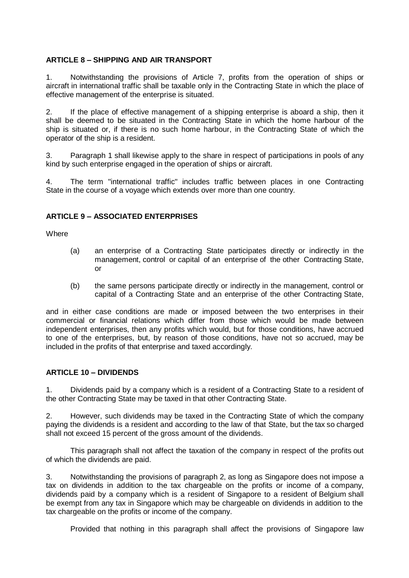## **ARTICLE 8 – SHIPPING AND AIR TRANSPORT**

1. Notwithstanding the provisions of Article 7, profits from the operation of ships or aircraft in international traffic shall be taxable only in the Contracting State in which the place of effective management of the enterprise is situated.

2. If the place of effective management of a shipping enterprise is aboard a ship, then it shall be deemed to be situated in the Contracting State in which the home harbour of the ship is situated or, if there is no such home harbour, in the Contracting State of which the operator of the ship is a resident.

3. Paragraph 1 shall likewise apply to the share in respect of participations in pools of any kind by such enterprise engaged in the operation of ships or aircraft.

4. The term "international traffic" includes traffic between places in one Contracting State in the course of a voyage which extends over more than one country.

## **ARTICLE 9 – ASSOCIATED ENTERPRISES**

**Where** 

- (a) an enterprise of a Contracting State participates directly or indirectly in the management, control or capital of an enterprise of the other Contracting State, or
- (b) the same persons participate directly or indirectly in the management, control or capital of a Contracting State and an enterprise of the other Contracting State,

and in either case conditions are made or imposed between the two enterprises in their commercial or financial relations which differ from those which would be made between independent enterprises, then any profits which would, but for those conditions, have accrued to one of the enterprises, but, by reason of those conditions, have not so accrued, may be included in the profits of that enterprise and taxed accordingly.

#### **ARTICLE 10 – DIVIDENDS**

1. Dividends paid by a company which is a resident of a Contracting State to a resident of the other Contracting State may be taxed in that other Contracting State.

2. However, such dividends may be taxed in the Contracting State of which the company paying the dividends is a resident and according to the law of that State, but the tax so charged shall not exceed 15 percent of the gross amount of the dividends.

This paragraph shall not affect the taxation of the company in respect of the profits out of which the dividends are paid.

3. Notwithstanding the provisions of paragraph 2, as long as Singapore does not impose a tax on dividends in addition to the tax chargeable on the profits or income of a company, dividends paid by a company which is a resident of Singapore to a resident of Belgium shall be exempt from any tax in Singapore which may be chargeable on dividends in addition to the tax chargeable on the profits or income of the company.

Provided that nothing in this paragraph shall affect the provisions of Singapore law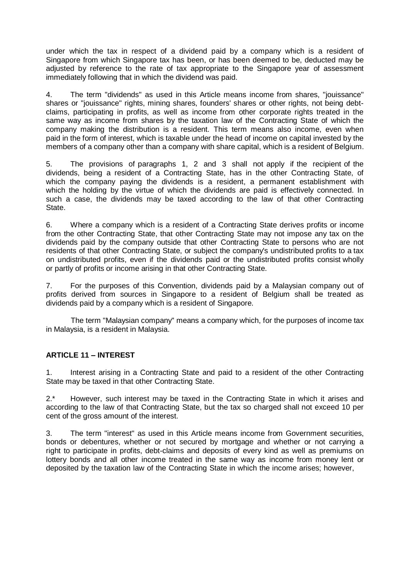under which the tax in respect of a dividend paid by a company which is a resident of Singapore from which Singapore tax has been, or has been deemed to be, deducted may be adjusted by reference to the rate of tax appropriate to the Singapore year of assessment immediately following that in which the dividend was paid.

4. The term "dividends" as used in this Article means income from shares, "jouissance" shares or "jouissance" rights, mining shares, founders' shares or other rights, not being debtclaims, participating in profits, as well as income from other corporate rights treated in the same way as income from shares by the taxation law of the Contracting State of which the company making the distribution is a resident. This term means also income, even when paid in the form of interest, which is taxable under the head of income on capital invested by the members of a company other than a company with share capital, which is a resident of Belgium.

5. The provisions of paragraphs 1, 2 and 3 shall not apply if the recipient of the dividends, being a resident of a Contracting State, has in the other Contracting State, of which the company paying the dividends is a resident, a permanent establishment with which the holding by the virtue of which the dividends are paid is effectively connected. In such a case, the dividends may be taxed according to the law of that other Contracting State.

6. Where a company which is a resident of a Contracting State derives profits or income from the other Contracting State, that other Contracting State may not impose any tax on the dividends paid by the company outside that other Contracting State to persons who are not residents of that other Contracting State, or subject the company's undistributed profits to a tax on undistributed profits, even if the dividends paid or the undistributed profits consist wholly or partly of profits or income arising in that other Contracting State.

7. For the purposes of this Convention, dividends paid by a Malaysian company out of profits derived from sources in Singapore to a resident of Belgium shall be treated as dividends paid by a company which is a resident of Singapore.

The term "Malaysian company" means a company which, for the purposes of income tax in Malaysia, is a resident in Malaysia.

#### **ARTICLE 11 – INTEREST**

1. Interest arising in a Contracting State and paid to a resident of the other Contracting State may be taxed in that other Contracting State.

2.<sup>\*</sup> However, such interest may be taxed in the Contracting State in which it arises and according to the law of that Contracting State, but the tax so charged shall not exceed 10 per cent of the gross amount of the interest.

3. The term "interest" as used in this Article means income from Government securities, bonds or debentures, whether or not secured by mortgage and whether or not carrying a right to participate in profits, debt-claims and deposits of every kind as well as premiums on lottery bonds and all other income treated in the same way as income from money lent or deposited by the taxation law of the Contracting State in which the income arises; however,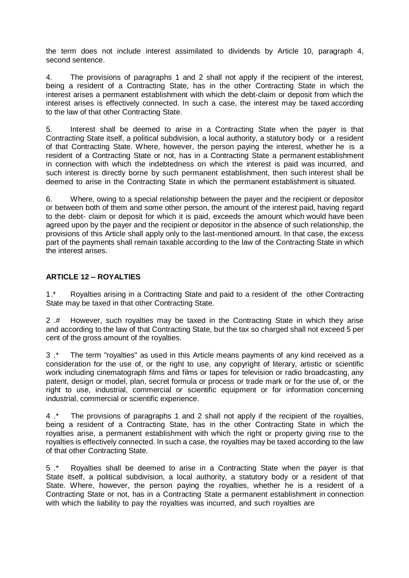the term does not include interest assimilated to dividends by Article 10, paragraph 4, second sentence.

4. The provisions of paragraphs 1 and 2 shall not apply if the recipient of the interest, being a resident of a Contracting State, has in the other Contracting State in which the interest arises a permanent establishment with which the debt-claim or deposit from which the interest arises is effectively connected. In such a case, the interest may be taxed according to the law of that other Contracting State.

5. Interest shall be deemed to arise in a Contracting State when the payer is that Contracting State itself, a political subdivision, a local authority, a statutory body or a resident of that Contracting State. Where, however, the person paying the interest, whether he is a resident of a Contracting State or not, has in a Contracting State a permanent establishment in connection with which the indebtedness on which the interest is paid was incurred, and such interest is directly borne by such permanent establishment, then such interest shall be deemed to arise in the Contracting State in which the permanent establishment is situated.

6. Where, owing to a special relationship between the payer and the recipient or depositor or between both of them and some other person, the amount of the interest paid, having regard to the debt- claim or deposit for which it is paid, exceeds the amount which would have been agreed upon by the payer and the recipient or depositor in the absence of such relationship, the provisions of this Article shall apply only to the last-mentioned amount. In that case, the excess part of the payments shall remain taxable according to the law of the Contracting State in which the interest arises.

#### **ARTICLE 12 – ROYALTIES**

1.\* Royalties arising in a Contracting State and paid to a resident of the other Contracting State may be taxed in that other Contracting State.

2 .# However, such royalties may be taxed in the Contracting State in which they arise and according to the law of that Contracting State, but the tax so charged shall not exceed 5 per cent of the gross amount of the royalties.

3 .\* The term "royalties" as used in this Article means payments of any kind received as a consideration for the use of, or the right to use, any copyright of literary, artistic or scientific work including cinematograph films and films or tapes for television or radio broadcasting, any patent, design or model, plan, secret formula or process or trade mark or for the use of, or the right to use, industrial, commercial or scientific equipment or for information concerning industrial, commercial or scientific experience.

4 .\* The provisions of paragraphs 1 and 2 shall not apply if the recipient of the royalties, being a resident of a Contracting State, has in the other Contracting State in which the royalties arise, a permanent establishment with which the right or property giving rise to the royalties is effectively connected. In such a case, the royalties may be taxed according to the law of that other Contracting State.

5 .\* Royalties shall be deemed to arise in a Contracting State when the payer is that State itself, a political subdivision, a local authority, a statutory body or a resident of that State. Where, however, the person paying the royalties, whether he is a resident of a Contracting State or not, has in a Contracting State a permanent establishment in connection with which the liability to pay the royalties was incurred, and such royalties are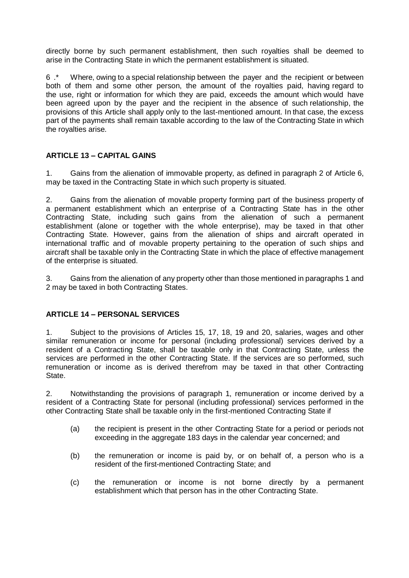directly borne by such permanent establishment, then such royalties shall be deemed to arise in the Contracting State in which the permanent establishment is situated.

6 .\* Where, owing to a special relationship between the payer and the recipient or between both of them and some other person, the amount of the royalties paid, having regard to the use, right or information for which they are paid, exceeds the amount which would have been agreed upon by the payer and the recipient in the absence of such relationship, the provisions of this Article shall apply only to the last-mentioned amount. In that case, the excess part of the payments shall remain taxable according to the law of the Contracting State in which the royalties arise.

## **ARTICLE 13 – CAPITAL GAINS**

1. Gains from the alienation of immovable property, as defined in paragraph 2 of Article 6, may be taxed in the Contracting State in which such property is situated.

2. Gains from the alienation of movable property forming part of the business property of a permanent establishment which an enterprise of a Contracting State has in the other Contracting State, including such gains from the alienation of such a permanent establishment (alone or together with the whole enterprise), may be taxed in that other Contracting State. However, gains from the alienation of ships and aircraft operated in international traffic and of movable property pertaining to the operation of such ships and aircraft shall be taxable only in the Contracting State in which the place of effective management of the enterprise is situated.

3. Gains from the alienation of any property other than those mentioned in paragraphs 1 and 2 may be taxed in both Contracting States.

#### **ARTICLE 14 – PERSONAL SERVICES**

1. Subject to the provisions of Articles 15, 17, 18, 19 and 20, salaries, wages and other similar remuneration or income for personal (including professional) services derived by a resident of a Contracting State, shall be taxable only in that Contracting State, unless the services are performed in the other Contracting State. If the services are so performed, such remuneration or income as is derived therefrom may be taxed in that other Contracting State.

2. Notwithstanding the provisions of paragraph 1, remuneration or income derived by a resident of a Contracting State for personal (including professional) services performed in the other Contracting State shall be taxable only in the first-mentioned Contracting State if

- (a) the recipient is present in the other Contracting State for a period or periods not exceeding in the aggregate 183 days in the calendar year concerned; and
- (b) the remuneration or income is paid by, or on behalf of, a person who is a resident of the first-mentioned Contracting State; and
- (c) the remuneration or income is not borne directly by a permanent establishment which that person has in the other Contracting State.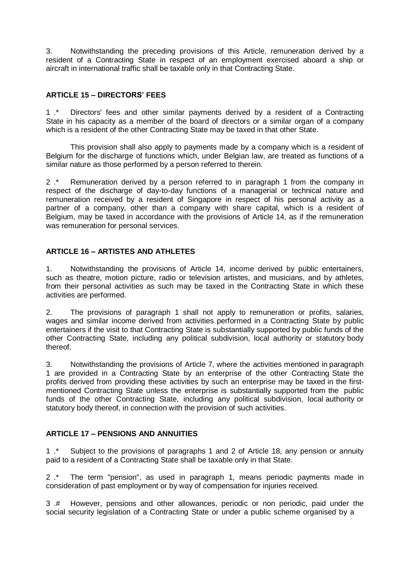3. Notwithstanding the preceding provisions of this Article, remuneration derived by a resident of a Contracting State in respect of an employment exercised aboard a ship or aircraft in international traffic shall be taxable only in that Contracting State.

## **ARTICLE 15 – DIRECTORS' FEES**

1 .\* Directors' fees and other similar payments derived by a resident of a Contracting State in his capacity as a member of the board of directors or a similar organ of a company which is a resident of the other Contracting State may be taxed in that other State.

This provision shall also apply to payments made by a company which is a resident of Belgium for the discharge of functions which, under Belgian law, are treated as functions of a similar nature as those performed by a person referred to therein.

2 .\* Remuneration derived by a person referred to in paragraph 1 from the company in respect of the discharge of day-to-day functions of a managerial or technical nature and remuneration received by a resident of Singapore in respect of his personal activity as a partner of a company, other than a company with share capital, which is a resident of Belgium, may be taxed in accordance with the provisions of Article 14, as if the remuneration was remuneration for personal services.

## **ARTICLE 16 – ARTISTES AND ATHLETES**

1. Notwithstanding the provisions of Article 14, income derived by public entertainers, such as theatre, motion picture, radio or television artistes, and musicians, and by athletes, from their personal activities as such may be taxed in the Contracting State in which these activities are performed.

2. The provisions of paragraph 1 shall not apply to remuneration or profits, salaries, wages and similar income derived from activities performed in a Contracting State by public entertainers if the visit to that Contracting State is substantially supported by public funds of the other Contracting State, including any political subdivision, local authority or statutory body thereof.

3. Notwithstanding the provisions of Article 7, where the activities mentioned in paragraph 1 are provided in a Contracting State by an enterprise of the other Contracting State the profits derived from providing these activities by such an enterprise may be taxed in the firstmentioned Contracting State unless the enterprise is substantially supported from the public funds of the other Contracting State, including any political subdivision, local authority or statutory body thereof, in connection with the provision of such activities.

#### **ARTICLE 17 – PENSIONS AND ANNUITIES**

1 .\* Subject to the provisions of paragraphs 1 and 2 of Article 18, any pension or annuity paid to a resident of a Contracting State shall be taxable only in that State.

2 .\* The term "pension", as used in paragraph 1, means periodic payments made in consideration of past employment or by way of compensation for injuries received.

3 .# However, pensions and other allowances, periodic or non periodic, paid under the social security legislation of a Contracting State or under a public scheme organised by a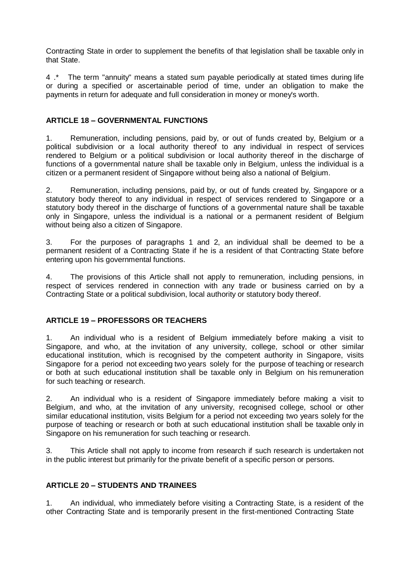Contracting State in order to supplement the benefits of that legislation shall be taxable only in that State.

4 .\* The term "annuity" means a stated sum payable periodically at stated times during life or during a specified or ascertainable period of time, under an obligation to make the payments in return for adequate and full consideration in money or money's worth.

## **ARTICLE 18 – GOVERNMENTAL FUNCTIONS**

1. Remuneration, including pensions, paid by, or out of funds created by, Belgium or a political subdivision or a local authority thereof to any individual in respect of services rendered to Belgium or a political subdivision or local authority thereof in the discharge of functions of a governmental nature shall be taxable only in Belgium, unless the individual is a citizen or a permanent resident of Singapore without being also a national of Belgium.

2. Remuneration, including pensions, paid by, or out of funds created by, Singapore or a statutory body thereof to any individual in respect of services rendered to Singapore or a statutory body thereof in the discharge of functions of a governmental nature shall be taxable only in Singapore, unless the individual is a national or a permanent resident of Belgium without being also a citizen of Singapore.

3. For the purposes of paragraphs 1 and 2, an individual shall be deemed to be a permanent resident of a Contracting State if he is a resident of that Contracting State before entering upon his governmental functions.

4. The provisions of this Article shall not apply to remuneration, including pensions, in respect of services rendered in connection with any trade or business carried on by a Contracting State or a political subdivision, local authority or statutory body thereof.

## **ARTICLE 19 – PROFESSORS OR TEACHERS**

1. An individual who is a resident of Belgium immediately before making a visit to Singapore, and who, at the invitation of any university, college, school or other similar educational institution, which is recognised by the competent authority in Singapore, visits Singapore for a period not exceeding two years solely for the purpose of teaching or research or both at such educational institution shall be taxable only in Belgium on his remuneration for such teaching or research.

2. An individual who is a resident of Singapore immediately before making a visit to Belgium, and who, at the invitation of any university, recognised college, school or other similar educational institution, visits Belgium for a period not exceeding two years solely for the purpose of teaching or research or both at such educational institution shall be taxable only in Singapore on his remuneration for such teaching or research.

3. This Article shall not apply to income from research if such research is undertaken not in the public interest but primarily for the private benefit of a specific person or persons.

## **ARTICLE 20 – STUDENTS AND TRAINEES**

1. An individual, who immediately before visiting a Contracting State, is a resident of the other Contracting State and is temporarily present in the first-mentioned Contracting State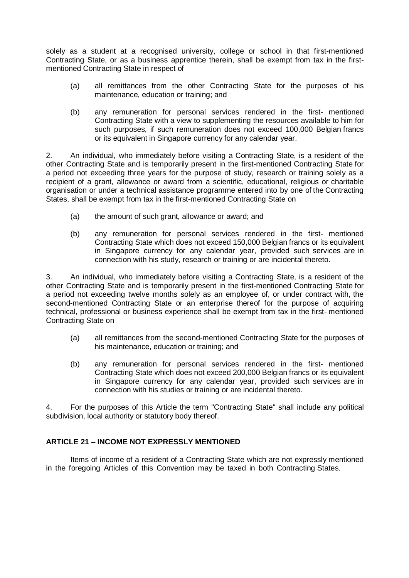solely as a student at a recognised university, college or school in that first-mentioned Contracting State, or as a business apprentice therein, shall be exempt from tax in the firstmentioned Contracting State in respect of

- (a) all remittances from the other Contracting State for the purposes of his maintenance, education or training; and
- (b) any remuneration for personal services rendered in the first- mentioned Contracting State with a view to supplementing the resources available to him for such purposes, if such remuneration does not exceed 100,000 Belgian francs or its equivalent in Singapore currency for any calendar year.

2. An individual, who immediately before visiting a Contracting State, is a resident of the other Contracting State and is temporarily present in the first-mentioned Contracting State for a period not exceeding three years for the purpose of study, research or training solely as a recipient of a grant, allowance or award from a scientific, educational, religious or charitable organisation or under a technical assistance programme entered into by one of the Contracting States, shall be exempt from tax in the first-mentioned Contracting State on

- (a) the amount of such grant, allowance or award; and
- (b) any remuneration for personal services rendered in the first- mentioned Contracting State which does not exceed 150,000 Belgian francs or its equivalent in Singapore currency for any calendar year, provided such services are in connection with his study, research or training or are incidental thereto.

3. An individual, who immediately before visiting a Contracting State, is a resident of the other Contracting State and is temporarily present in the first-mentioned Contracting State for a period not exceeding twelve months solely as an employee of, or under contract with, the second-mentioned Contracting State or an enterprise thereof for the purpose of acquiring technical, professional or business experience shall be exempt from tax in the first- mentioned Contracting State on

- (a) all remittances from the second-mentioned Contracting State for the purposes of his maintenance, education or training; and
- (b) any remuneration for personal services rendered in the first- mentioned Contracting State which does not exceed 200,000 Belgian francs or its equivalent in Singapore currency for any calendar year, provided such services are in connection with his studies or training or are incidental thereto.

4. For the purposes of this Article the term "Contracting State" shall include any political subdivision, local authority or statutory body thereof.

## **ARTICLE 21 – INCOME NOT EXPRESSLY MENTIONED**

Items of income of a resident of a Contracting State which are not expressly mentioned in the foregoing Articles of this Convention may be taxed in both Contracting States.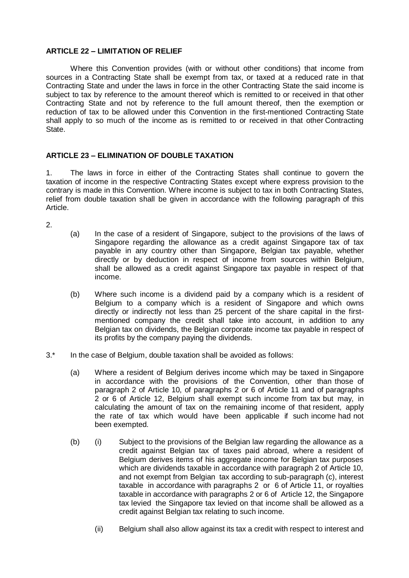#### **ARTICLE 22 – LIMITATION OF RELIEF**

Where this Convention provides (with or without other conditions) that income from sources in a Contracting State shall be exempt from tax, or taxed at a reduced rate in that Contracting State and under the laws in force in the other Contracting State the said income is subject to tax by reference to the amount thereof which is remitted to or received in that other Contracting State and not by reference to the full amount thereof, then the exemption or reduction of tax to be allowed under this Convention in the first-mentioned Contracting State shall apply to so much of the income as is remitted to or received in that other Contracting State.

#### **ARTICLE 23 – ELIMINATION OF DOUBLE TAXATION**

1. The laws in force in either of the Contracting States shall continue to govern the taxation of income in the respective Contracting States except where express provision to the contrary is made in this Convention. Where income is subject to tax in both Contracting States, relief from double taxation shall be given in accordance with the following paragraph of this Article.

2.

- (a) In the case of a resident of Singapore, subject to the provisions of the laws of Singapore regarding the allowance as a credit against Singapore tax of tax payable in any country other than Singapore, Belgian tax payable, whether directly or by deduction in respect of income from sources within Belgium, shall be allowed as a credit against Singapore tax payable in respect of that income.
- (b) Where such income is a dividend paid by a company which is a resident of Belgium to a company which is a resident of Singapore and which owns directly or indirectly not less than 25 percent of the share capital in the firstmentioned company the credit shall take into account, in addition to any Belgian tax on dividends, the Belgian corporate income tax payable in respect of its profits by the company paying the dividends.
- 3.\* In the case of Belgium, double taxation shall be avoided as follows:
	- (a) Where a resident of Belgium derives income which may be taxed in Singapore in accordance with the provisions of the Convention, other than those of paragraph 2 of Article 10, of paragraphs 2 or 6 of Article 11 and of paragraphs 2 or 6 of Article 12, Belgium shall exempt such income from tax but may, in calculating the amount of tax on the remaining income of that resident, apply the rate of tax which would have been applicable if such income had not been exempted.
	- (b) (i) Subject to the provisions of the Belgian law regarding the allowance as a credit against Belgian tax of taxes paid abroad, where a resident of Belgium derives items of his aggregate income for Belgian tax purposes which are dividends taxable in accordance with paragraph 2 of Article 10, and not exempt from Belgian tax according to sub-paragraph (c), interest taxable in accordance with paragraphs 2 or 6 of Article 11, or royalties taxable in accordance with paragraphs 2 or 6 of Article 12, the Singapore tax levied the Singapore tax levied on that income shall be allowed as a credit against Belgian tax relating to such income.
		- (ii) Belgium shall also allow against its tax a credit with respect to interest and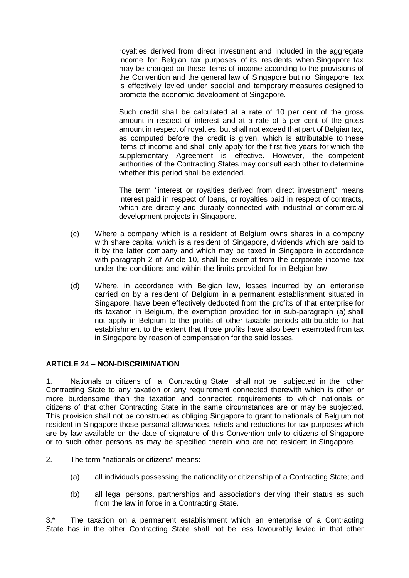royalties derived from direct investment and included in the aggregate income for Belgian tax purposes of its residents, when Singapore tax may be charged on these items of income according to the provisions of the Convention and the general law of Singapore but no Singapore tax is effectively levied under special and temporary measures designed to promote the economic development of Singapore.

Such credit shall be calculated at a rate of 10 per cent of the gross amount in respect of interest and at a rate of 5 per cent of the gross amount in respect of royalties, but shall not exceed that part of Belgian tax, as computed before the credit is given, which is attributable to these items of income and shall only apply for the first five years for which the supplementary Agreement is effective. However, the competent authorities of the Contracting States may consult each other to determine whether this period shall be extended.

The term "interest or royalties derived from direct investment" means interest paid in respect of loans, or royalties paid in respect of contracts, which are directly and durably connected with industrial or commercial development projects in Singapore.

- (c) Where a company which is a resident of Belgium owns shares in a company with share capital which is a resident of Singapore, dividends which are paid to it by the latter company and which may be taxed in Singapore in accordance with paragraph 2 of Article 10, shall be exempt from the corporate income tax under the conditions and within the limits provided for in Belgian law.
- (d) Where, in accordance with Belgian law, losses incurred by an enterprise carried on by a resident of Belgium in a permanent establishment situated in Singapore, have been effectively deducted from the profits of that enterprise for its taxation in Belgium, the exemption provided for in sub-paragraph (a) shall not apply in Belgium to the profits of other taxable periods attributable to that establishment to the extent that those profits have also been exempted from tax in Singapore by reason of compensation for the said losses.

#### **ARTICLE 24 – NON-DISCRIMINATION**

1. Nationals or citizens of a Contracting State shall not be subjected in the other Contracting State to any taxation or any requirement connected therewith which is other or more burdensome than the taxation and connected requirements to which nationals or citizens of that other Contracting State in the same circumstances are or may be subjected. This provision shall not be construed as obliging Singapore to grant to nationals of Belgium not resident in Singapore those personal allowances, reliefs and reductions for tax purposes which are by law available on the date of signature of this Convention only to citizens of Singapore or to such other persons as may be specified therein who are not resident in Singapore.

- 2. The term "nationals or citizens" means:
	- (a) all individuals possessing the nationality or citizenship of a Contracting State; and
	- (b) all legal persons, partnerships and associations deriving their status as such from the law in force in a Contracting State.

3.\* The taxation on a permanent establishment which an enterprise of a Contracting State has in the other Contracting State shall not be less favourably levied in that other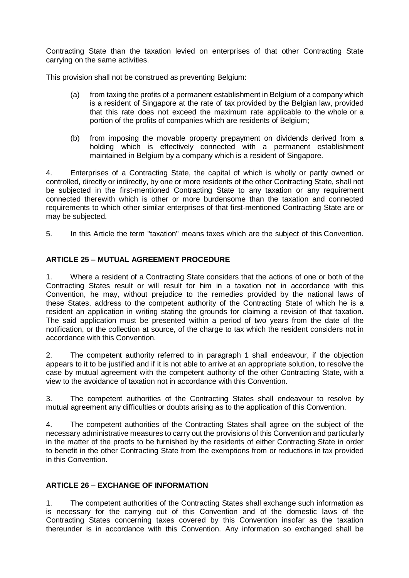Contracting State than the taxation levied on enterprises of that other Contracting State carrying on the same activities.

This provision shall not be construed as preventing Belgium:

- (a) from taxing the profits of a permanent establishment in Belgium of a company which is a resident of Singapore at the rate of tax provided by the Belgian law, provided that this rate does not exceed the maximum rate applicable to the whole or a portion of the profits of companies which are residents of Belgium;
- (b) from imposing the movable property prepayment on dividends derived from a holding which is effectively connected with a permanent establishment maintained in Belgium by a company which is a resident of Singapore.

4. Enterprises of a Contracting State, the capital of which is wholly or partly owned or controlled, directly or indirectly, by one or more residents of the other Contracting State, shall not be subjected in the first-mentioned Contracting State to any taxation or any requirement connected therewith which is other or more burdensome than the taxation and connected requirements to which other similar enterprises of that first-mentioned Contracting State are or may be subjected.

5. In this Article the term "taxation" means taxes which are the subject of this Convention.

#### **ARTICLE 25 – MUTUAL AGREEMENT PROCEDURE**

1. Where a resident of a Contracting State considers that the actions of one or both of the Contracting States result or will result for him in a taxation not in accordance with this Convention, he may, without prejudice to the remedies provided by the national laws of these States, address to the competent authority of the Contracting State of which he is a resident an application in writing stating the grounds for claiming a revision of that taxation. The said application must be presented within a period of two years from the date of the notification, or the collection at source, of the charge to tax which the resident considers not in accordance with this Convention.

2. The competent authority referred to in paragraph 1 shall endeavour, if the objection appears to it to be justified and if it is not able to arrive at an appropriate solution, to resolve the case by mutual agreement with the competent authority of the other Contracting State, with a view to the avoidance of taxation not in accordance with this Convention.

3. The competent authorities of the Contracting States shall endeavour to resolve by mutual agreement any difficulties or doubts arising as to the application of this Convention.

4. The competent authorities of the Contracting States shall agree on the subject of the necessary administrative measures to carry out the provisions of this Convention and particularly in the matter of the proofs to be furnished by the residents of either Contracting State in order to benefit in the other Contracting State from the exemptions from or reductions in tax provided in this Convention.

## **ARTICLE 26 – EXCHANGE OF INFORMATION**

1. The competent authorities of the Contracting States shall exchange such information as is necessary for the carrying out of this Convention and of the domestic laws of the Contracting States concerning taxes covered by this Convention insofar as the taxation thereunder is in accordance with this Convention. Any information so exchanged shall be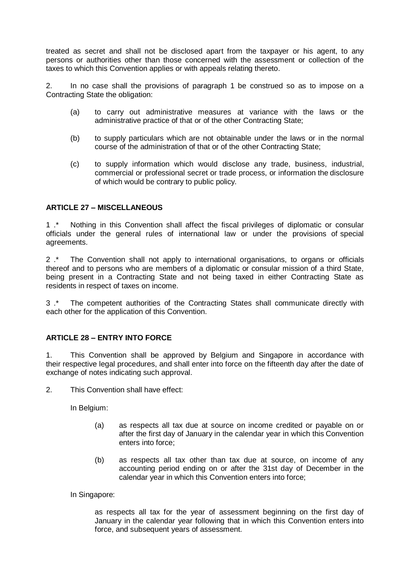treated as secret and shall not be disclosed apart from the taxpayer or his agent, to any persons or authorities other than those concerned with the assessment or collection of the taxes to which this Convention applies or with appeals relating thereto.

2. In no case shall the provisions of paragraph 1 be construed so as to impose on a Contracting State the obligation:

- (a) to carry out administrative measures at variance with the laws or the administrative practice of that or of the other Contracting State;
- (b) to supply particulars which are not obtainable under the laws or in the normal course of the administration of that or of the other Contracting State;
- (c) to supply information which would disclose any trade, business, industrial, commercial or professional secret or trade process, or information the disclosure of which would be contrary to public policy.

## **ARTICLE 27 – MISCELLANEOUS**

1 .\* Nothing in this Convention shall affect the fiscal privileges of diplomatic or consular officials under the general rules of international law or under the provisions of special agreements.

2 .\* The Convention shall not apply to international organisations, to organs or officials thereof and to persons who are members of a diplomatic or consular mission of a third State, being present in a Contracting State and not being taxed in either Contracting State as residents in respect of taxes on income.

3 .\* The competent authorities of the Contracting States shall communicate directly with each other for the application of this Convention.

#### **ARTICLE 28 – ENTRY INTO FORCE**

1. This Convention shall be approved by Belgium and Singapore in accordance with their respective legal procedures, and shall enter into force on the fifteenth day after the date of exchange of notes indicating such approval.

2. This Convention shall have effect:

In Belgium:

- (a) as respects all tax due at source on income credited or payable on or after the first day of January in the calendar year in which this Convention enters into force;
- (b) as respects all tax other than tax due at source, on income of any accounting period ending on or after the 31st day of December in the calendar year in which this Convention enters into force;

In Singapore:

as respects all tax for the year of assessment beginning on the first day of January in the calendar year following that in which this Convention enters into force, and subsequent years of assessment.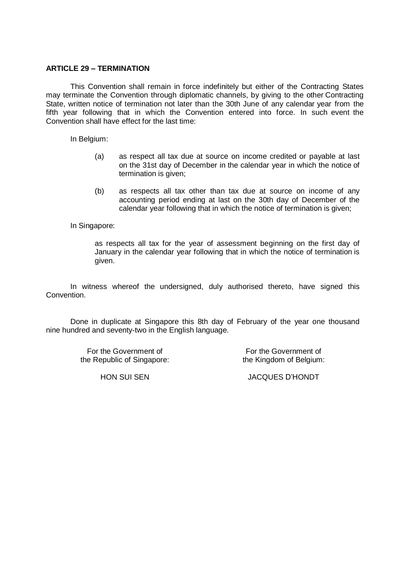#### **ARTICLE 29 – TERMINATION**

This Convention shall remain in force indefinitely but either of the Contracting States may terminate the Convention through diplomatic channels, by giving to the other Contracting State, written notice of termination not later than the 30th June of any calendar year from the fifth year following that in which the Convention entered into force. In such event the Convention shall have effect for the last time:

In Belgium:

- (a) as respect all tax due at source on income credited or payable at last on the 31st day of December in the calendar year in which the notice of termination is given;
- (b) as respects all tax other than tax due at source on income of any accounting period ending at last on the 30th day of December of the calendar year following that in which the notice of termination is given;

In Singapore:

as respects all tax for the year of assessment beginning on the first day of January in the calendar year following that in which the notice of termination is given.

In witness whereof the undersigned, duly authorised thereto, have signed this Convention.

Done in duplicate at Singapore this 8th day of February of the year one thousand nine hundred and seventy-two in the English language.

> For the Government of the Republic of Singapore:

For the Government of the Kingdom of Belgium:

HON SUI SEN JACQUES D'HONDT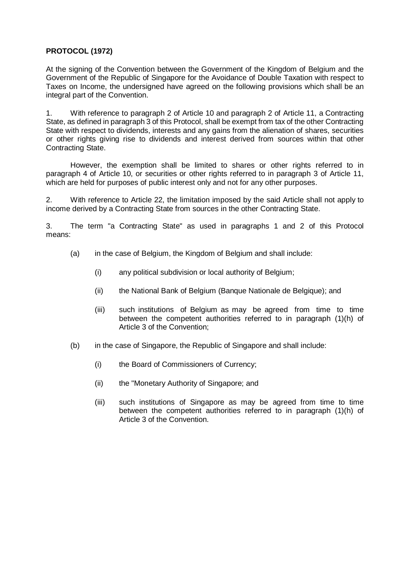## **PROTOCOL (1972)**

At the signing of the Convention between the Government of the Kingdom of Belgium and the Government of the Republic of Singapore for the Avoidance of Double Taxation with respect to Taxes on Income, the undersigned have agreed on the following provisions which shall be an integral part of the Convention.

1. With reference to paragraph 2 of Article 10 and paragraph 2 of Article 11, a Contracting State, as defined in paragraph 3 of this Protocol, shall be exempt from tax of the other Contracting State with respect to dividends, interests and any gains from the alienation of shares, securities or other rights giving rise to dividends and interest derived from sources within that other Contracting State.

However, the exemption shall be limited to shares or other rights referred to in paragraph 4 of Article 10, or securities or other rights referred to in paragraph 3 of Article 11, which are held for purposes of public interest only and not for any other purposes.

2. With reference to Article 22, the limitation imposed by the said Article shall not apply to income derived by a Contracting State from sources in the other Contracting State.

3. The term "a Contracting State" as used in paragraphs 1 and 2 of this Protocol means:

- (a) in the case of Belgium, the Kingdom of Belgium and shall include:
	- (i) any political subdivision or local authority of Belgium;
	- (ii) the National Bank of Belgium (Banque Nationale de Belgique); and
	- (iii) such institutions of Belgium as may be agreed from time to time between the competent authorities referred to in paragraph (1)(h) of Article 3 of the Convention;
- (b) in the case of Singapore, the Republic of Singapore and shall include:
	- (i) the Board of Commissioners of Currency;
	- (ii) the "Monetary Authority of Singapore; and
	- (iii) such institutions of Singapore as may be agreed from time to time between the competent authorities referred to in paragraph (1)(h) of Article 3 of the Convention.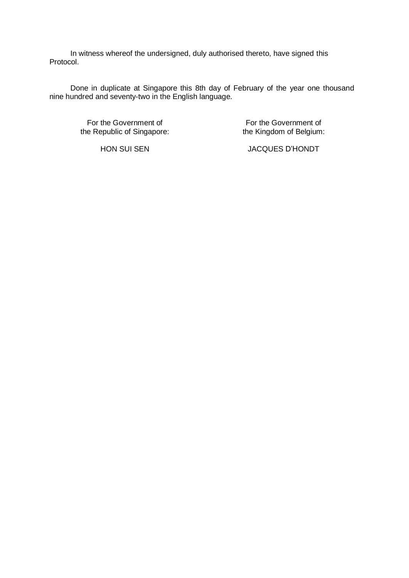In witness whereof the undersigned, duly authorised thereto, have signed this Protocol.

Done in duplicate at Singapore this 8th day of February of the year one thousand nine hundred and seventy-two in the English language.

> For the Government of the Republic of Singapore:

For the Government of the Kingdom of Belgium:

HON SUI SEN JACQUES D'HONDT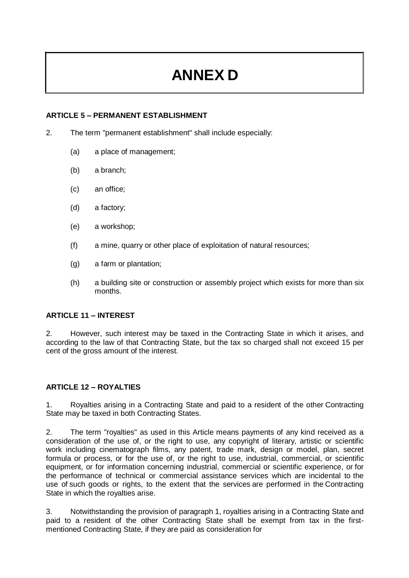# **ANNEX D**

## **ARTICLE 5 – PERMANENT ESTABLISHMENT**

- 2. The term "permanent establishment" shall include especially:
	- (a) a place of management;
	- (b) a branch;
	- (c) an office;
	- (d) a factory;
	- (e) a workshop;
	- (f) a mine, quarry or other place of exploitation of natural resources;
	- (g) a farm or plantation;
	- (h) a building site or construction or assembly project which exists for more than six months.

## **ARTICLE 11 – INTEREST**

2. However, such interest may be taxed in the Contracting State in which it arises, and according to the law of that Contracting State, but the tax so charged shall not exceed 15 per cent of the gross amount of the interest.

#### **ARTICLE 12 – ROYALTIES**

1. Royalties arising in a Contracting State and paid to a resident of the other Contracting State may be taxed in both Contracting States.

2. The term "royalties" as used in this Article means payments of any kind received as a consideration of the use of, or the right to use, any copyright of literary, artistic or scientific work including cinematograph films, any patent, trade mark, design or model, plan, secret formula or process, or for the use of, or the right to use, industrial, commercial, or scientific equipment, or for information concerning industrial, commercial or scientific experience, or for the performance of technical or commercial assistance services which are incidental to the use of such goods or rights, to the extent that the services are performed in the Contracting State in which the royalties arise.

3. Notwithstanding the provision of paragraph 1, royalties arising in a Contracting State and paid to a resident of the other Contracting State shall be exempt from tax in the firstmentioned Contracting State, if they are paid as consideration for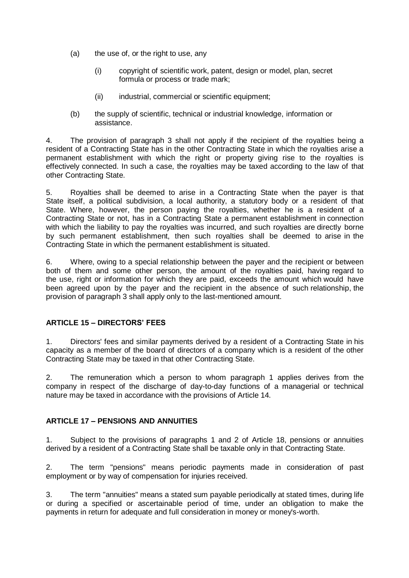- (a) the use of, or the right to use, any
	- (i) copyright of scientific work, patent, design or model, plan, secret formula or process or trade mark;
	- (ii) industrial, commercial or scientific equipment;
- (b) the supply of scientific, technical or industrial knowledge, information or assistance.

4. The provision of paragraph 3 shall not apply if the recipient of the royalties being a resident of a Contracting State has in the other Contracting State in which the royalties arise a permanent establishment with which the right or property giving rise to the royalties is effectively connected. In such a case, the royalties may be taxed according to the law of that other Contracting State.

5. Royalties shall be deemed to arise in a Contracting State when the payer is that State itself, a political subdivision, a local authority, a statutory body or a resident of that State. Where, however, the person paying the royalties, whether he is a resident of a Contracting State or not, has in a Contracting State a permanent establishment in connection with which the liability to pay the royalties was incurred, and such royalties are directly borne by such permanent establishment, then such royalties shall be deemed to arise in the Contracting State in which the permanent establishment is situated.

6. Where, owing to a special relationship between the payer and the recipient or between both of them and some other person, the amount of the royalties paid, having regard to the use, right or information for which they are paid, exceeds the amount which would have been agreed upon by the payer and the recipient in the absence of such relationship, the provision of paragraph 3 shall apply only to the last-mentioned amount.

#### **ARTICLE 15 – DIRECTORS' FEES**

1. Directors' fees and similar payments derived by a resident of a Contracting State in his capacity as a member of the board of directors of a company which is a resident of the other Contracting State may be taxed in that other Contracting State.

2. The remuneration which a person to whom paragraph 1 applies derives from the company in respect of the discharge of day-to-day functions of a managerial or technical nature may be taxed in accordance with the provisions of Article 14.

#### **ARTICLE 17 – PENSIONS AND ANNUITIES**

1. Subject to the provisions of paragraphs 1 and 2 of Article 18, pensions or annuities derived by a resident of a Contracting State shall be taxable only in that Contracting State.

2. The term "pensions" means periodic payments made in consideration of past employment or by way of compensation for injuries received.

3. The term "annuities" means a stated sum payable periodically at stated times, during life or during a specified or ascertainable period of time, under an obligation to make the payments in return for adequate and full consideration in money or money's-worth.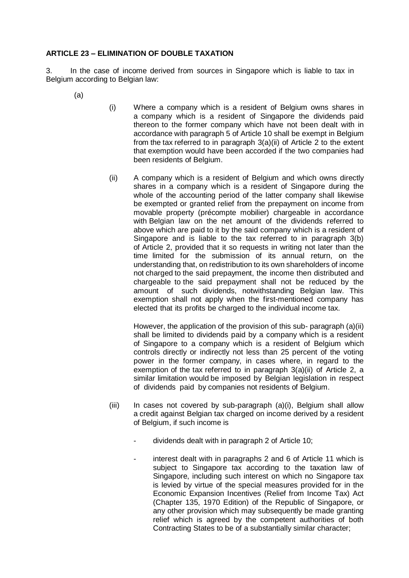## **ARTICLE 23 – ELIMINATION OF DOUBLE TAXATION**

3. In the case of income derived from sources in Singapore which is liable to tax in Belgium according to Belgian law:

- (a)
- (i) Where a company which is a resident of Belgium owns shares in a company which is a resident of Singapore the dividends paid thereon to the former company which have not been dealt with in accordance with paragraph 5 of Article 10 shall be exempt in Belgium from the tax referred to in paragraph  $3(a)(ii)$  of Article 2 to the extent that exemption would have been accorded if the two companies had been residents of Belgium.
- (ii) A company which is a resident of Belgium and which owns directly shares in a company which is a resident of Singapore during the whole of the accounting period of the latter company shall likewise be exempted or granted relief from the prepayment on income from movable property (précompte mobilier) chargeable in accordance with Belgian law on the net amount of the dividends referred to above which are paid to it by the said company which is a resident of Singapore and is liable to the tax referred to in paragraph 3(b) of Article 2, provided that it so requests in writing not later than the time limited for the submission of its annual return, on the understanding that, on redistribution to its own shareholders of income not charged to the said prepayment, the income then distributed and chargeable to the said prepayment shall not be reduced by the amount of such dividends, notwithstanding Belgian law. This exemption shall not apply when the first-mentioned company has elected that its profits be charged to the individual income tax.

However, the application of the provision of this sub- paragraph (a)(ii) shall be limited to dividends paid by a company which is a resident of Singapore to a company which is a resident of Belgium which controls directly or indirectly not less than 25 percent of the voting power in the former company, in cases where, in regard to the exemption of the tax referred to in paragraph 3(a)(ii) of Article 2, a similar limitation would be imposed by Belgian legislation in respect of dividends paid by companies not residents of Belgium.

- $(iii)$  In cases not covered by sub-paragraph  $(a)(i)$ , Belgium shall allow a credit against Belgian tax charged on income derived by a resident of Belgium, if such income is
	- dividends dealt with in paragraph 2 of Article 10;
	- interest dealt with in paragraphs 2 and 6 of Article 11 which is subject to Singapore tax according to the taxation law of Singapore, including such interest on which no Singapore tax is levied by virtue of the special measures provided for in the Economic Expansion Incentives (Relief from Income Tax) Act (Chapter 135, 1970 Edition) of the Republic of Singapore, or any other provision which may subsequently be made granting relief which is agreed by the competent authorities of both Contracting States to be of a substantially similar character;